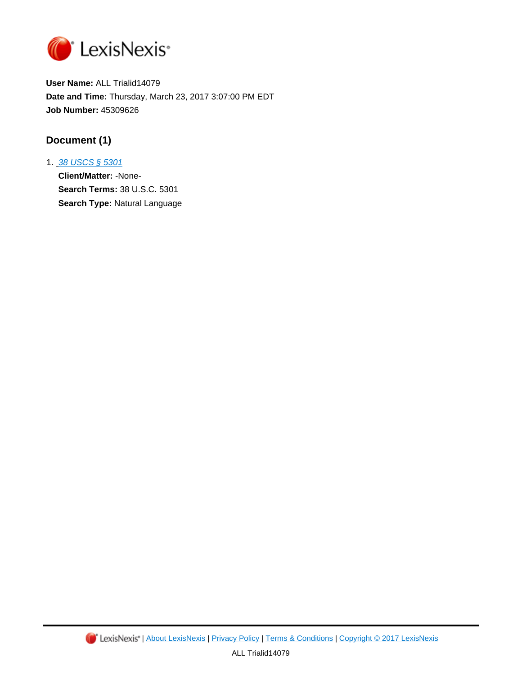

**User Name:** ALL Trialid14079 **Date and Time:** Thursday, March 23, 2017 3:07:00 PM EDT **Job Number:** 45309626

# **Document (1)**

1. [38 USCS § 5301](http://advance.lexis.com/api/document?id=urn:contentItem:4YF7-GR11-NRF4-4458-00000-00&idtype=PID&context=1000516) **Client/Matter:** -None-**Search Terms:** 38 U.S.C. 5301 **Search Type:** Natural Language

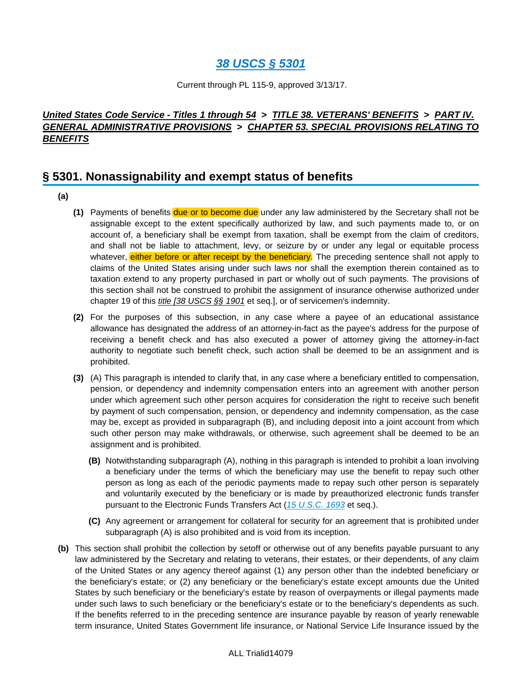# **[38 USCS § 5301](http://advance.lexis.com/api/document?collection=statutes-legislation&id=urn:contentItem:4YF7-GR11-NRF4-4458-00000-00&context=)**

Current through PL 115-9, approved 3/13/17.

# **United States Code Service - Titles 1 through 54 > TITLE 38. VETERANS' BENEFITS > PART IV. GENERAL ADMINISTRATIVE PROVISIONS > CHAPTER 53. SPECIAL PROVISIONS RELATING TO BENEFITS**

# **§ 5301. Nonassignability and exempt status of benefits**

- **(a)**
- **(1)** Payments of benefits due or to become due under any law administered by the Secretary shall not be assignable except to the extent specifically authorized by law, and such payments made to, or on account of, a beneficiary shall be exempt from taxation, shall be exempt from the claim of creditors, and shall not be liable to attachment, levy, or seizure by or under any legal or equitable process whatever, either before or after receipt by the beneficiary. The preceding sentence shall not apply to claims of the United States arising under such laws nor shall the exemption therein contained as to taxation extend to any property purchased in part or wholly out of such payments. The provisions of this section shall not be construed to prohibit the assignment of insurance otherwise authorized under chapter 19 of this *title [38 USCS §§ 1901* et seq.], or of servicemen's indemnity.
- **(2)** For the purposes of this subsection, in any case where a payee of an educational assistance allowance has designated the address of an attorney-in-fact as the payee's address for the purpose of receiving a benefit check and has also executed a power of attorney giving the attorney-in-fact authority to negotiate such benefit check, such action shall be deemed to be an assignment and is prohibited.
- **(3)** (A) This paragraph is intended to clarify that, in any case where a beneficiary entitled to compensation, pension, or dependency and indemnity compensation enters into an agreement with another person under which agreement such other person acquires for consideration the right to receive such benefit by payment of such compensation, pension, or dependency and indemnity compensation, as the case may be, except as provided in subparagraph (B), and including deposit into a joint account from which such other person may make withdrawals, or otherwise, such agreement shall be deemed to be an assignment and is prohibited.
	- **(B)** Notwithstanding subparagraph (A), nothing in this paragraph is intended to prohibit a loan involving a beneficiary under the terms of which the beneficiary may use the benefit to repay such other person as long as each of the periodic payments made to repay such other person is separately and voluntarily executed by the beneficiary or is made by preauthorized electronic funds transfer pursuant to the Electronic Funds Transfers Act ([15 U.S.C. 1693](http://advance.lexis.com/api/document?collection=statutes-legislation&id=urn:contentItem:4YF7-GR71-NRF4-40VW-00000-00&context=) et seq.).
	- **(C)** Any agreement or arrangement for collateral for security for an agreement that is prohibited under subparagraph (A) is also prohibited and is void from its inception.
- **(b)** This section shall prohibit the collection by setoff or otherwise out of any benefits payable pursuant to any law administered by the Secretary and relating to veterans, their estates, or their dependents, of any claim of the United States or any agency thereof against (1) any person other than the indebted beneficiary or the beneficiary's estate; or (2) any beneficiary or the beneficiary's estate except amounts due the United States by such beneficiary or the beneficiary's estate by reason of overpayments or illegal payments made under such laws to such beneficiary or the beneficiary's estate or to the beneficiary's dependents as such. If the benefits referred to in the preceding sentence are insurance payable by reason of yearly renewable term insurance, United States Government life insurance, or National Service Life Insurance issued by the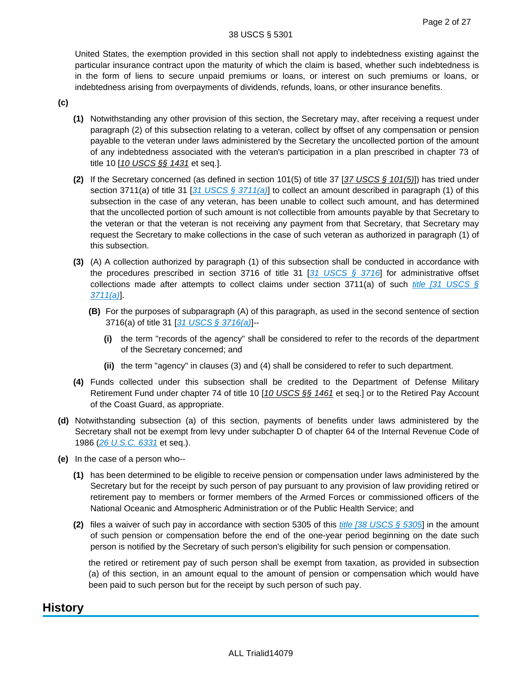United States, the exemption provided in this section shall not apply to indebtedness existing against the particular insurance contract upon the maturity of which the claim is based, whether such indebtedness is in the form of liens to secure unpaid premiums or loans, or interest on such premiums or loans, or indebtedness arising from overpayments of dividends, refunds, loans, or other insurance benefits.

**(c)**

- **(1)** Notwithstanding any other provision of this section, the Secretary may, after receiving a request under paragraph (2) of this subsection relating to a veteran, collect by offset of any compensation or pension payable to the veteran under laws administered by the Secretary the uncollected portion of the amount of any indebtedness associated with the veteran's participation in a plan prescribed in chapter 73 of title 10 [10 USCS §§ 1431 et seq.].
- **(2)** If the Secretary concerned (as defined in section 101(5) of title 37 [37 USCS § 101(5)]) has tried under section 3711(a) of title 31 [[31 USCS § 3711\(a\)](http://advance.lexis.com/api/document?collection=statutes-legislation&id=urn:contentItem:4YF7-GJV1-NRF4-44G6-00000-00&context=)] to collect an amount described in paragraph (1) of this subsection in the case of any veteran, has been unable to collect such amount, and has determined that the uncollected portion of such amount is not collectible from amounts payable by that Secretary to the veteran or that the veteran is not receiving any payment from that Secretary, that Secretary may request the Secretary to make collections in the case of such veteran as authorized in paragraph (1) of this subsection.
- **(3)** (A) A collection authorized by paragraph (1) of this subsection shall be conducted in accordance with the procedures prescribed in section 3716 of title 31 [[31 USCS § 3716](http://advance.lexis.com/api/document?collection=statutes-legislation&id=urn:contentItem:4YF7-GJG1-NRF4-40RW-00000-00&context=)] for administrative offset collections made after attempts to collect claims under section 3711(a) of such *title* [31 USCS §  $3711(a)$ .
	- **(B)** For the purposes of subparagraph (A) of this paragraph, as used in the second sentence of section 3716(a) of title 31 [[31 USCS § 3716\(a\)](http://advance.lexis.com/api/document?collection=statutes-legislation&id=urn:contentItem:4YF7-GJG1-NRF4-40RW-00000-00&context=)]--
		- **(i)** the term "records of the agency" shall be considered to refer to the records of the department of the Secretary concerned; and
		- **(ii)** the term "agency" in clauses (3) and (4) shall be considered to refer to such department.
- **(4)** Funds collected under this subsection shall be credited to the Department of Defense Military Retirement Fund under chapter 74 of title 10 [10 USCS §§ 1461 et seq.] or to the Retired Pay Account of the Coast Guard, as appropriate.
- **(d)** Notwithstanding subsection (a) of this section, payments of benefits under laws administered by the Secretary shall not be exempt from levy under subchapter D of chapter 64 of the Internal Revenue Code of 1986 ([26 U.S.C. 6331](http://advance.lexis.com/api/document?collection=statutes-legislation&id=urn:contentItem:4YF7-GN41-NRF4-40K7-00000-00&context=) et seq.).
- **(e)** In the case of a person who--
	- **(1)** has been determined to be eligible to receive pension or compensation under laws administered by the Secretary but for the receipt by such person of pay pursuant to any provision of law providing retired or retirement pay to members or former members of the Armed Forces or commissioned officers of the National Oceanic and Atmospheric Administration or of the Public Health Service; and
	- **(2)** files a waiver of such pay in accordance with section 5305 of this *[title \[38 USCS § 5305](http://advance.lexis.com/api/document?collection=statutes-legislation&id=urn:contentItem:4YF7-GJS1-NRF4-43T2-00000-00&context=)*] in the amount of such pension or compensation before the end of the one-year period beginning on the date such person is notified by the Secretary of such person's eligibility for such pension or compensation.

the retired or retirement pay of such person shall be exempt from taxation, as provided in subsection (a) of this section, in an amount equal to the amount of pension or compensation which would have been paid to such person but for the receipt by such person of such pay.

# **History**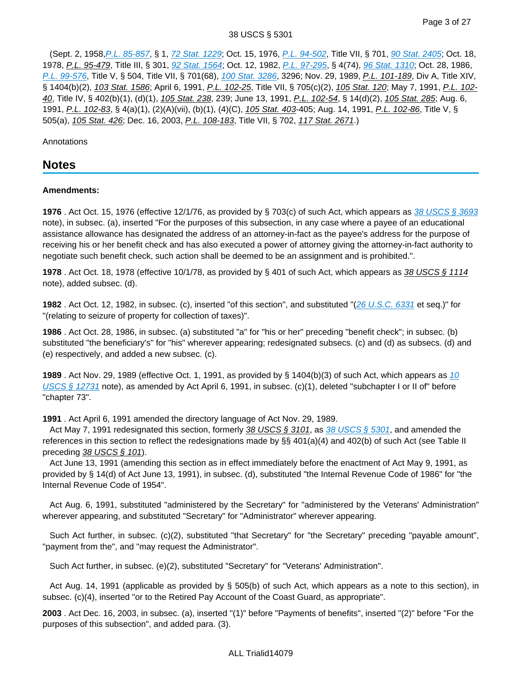#### 38 USCS § 5301

 (Sept. 2, 1958,[P.L. 85-857](http://advance.lexis.com/api/document?collection=statutes-legislation&id=urn:contentItem:5CFP-G910-01XN-S30K-00000-00&context=), § 1, [72 Stat. 1229](http://advance.lexis.com/api/document?collection=statutes-legislation&id=urn:contentItem:5CFP-G910-01XN-S30K-00000-00&context=); Oct. 15, 1976, [P.L. 94-502](http://advance.lexis.com/api/document?collection=statutes-legislation&id=urn:contentItem:5CD7-HSG0-01XN-S4XB-00000-00&context=), Title VII, § 701, [90 Stat. 2405](http://advance.lexis.com/api/document?collection=statutes-legislation&id=urn:contentItem:5CD7-HSG0-01XN-S4XB-00000-00&context=); Oct. 18, 1978, P.L. 95-479, Title III, § 301, [92 Stat. 1564](http://advance.lexis.com/api/document?collection=statutes-legislation&id=urn:contentItem:5CD7-HSJ0-01XN-S0V6-00000-00&context=); Oct. 12, 1982, [P.L. 97-295](http://advance.lexis.com/api/document?collection=statutes-legislation&id=urn:contentItem:5CD7-HSM0-01XN-S371-00000-00&context=), § 4(74), [96 Stat. 1310](http://advance.lexis.com/api/document?collection=statutes-legislation&id=urn:contentItem:5CD7-HSM0-01XN-S371-00000-00&context=); Oct. 28, 1986, [P.L. 99-576](http://advance.lexis.com/api/document?collection=statutes-legislation&id=urn:contentItem:5CDM-HXS0-01XN-S0T2-00000-00&context=), Title V, § 504, Title VII, § 701(68), [100 Stat. 3286](http://advance.lexis.com/api/document?collection=statutes-legislation&id=urn:contentItem:5CDM-HXS0-01XN-S0T2-00000-00&context=), 3296; Nov. 29, 1989, P.L. 101-189, Div A, Title XIV, § 1404(b)(2), 103 Stat. 1586; April 6, 1991, P.L. 102-25, Title VII, § 705(c)(2), 105 Stat. 120; May 7, 1991, P.L. 102-40, Title IV, § 402(b)(1), (d)(1), 105 Stat. 238, 239; June 13, 1991, P.L. 102-54, § 14(d)(2), 105 Stat. 285; Aug. 6, 1991, P.L. 102-83, § 4(a)(1), (2)(A)(vii), (b)(1), (4)(C), 105 Stat. 403-405; Aug. 14, 1991, P.L. 102-86, Title V, § 505(a), 105 Stat. 426; Dec. 16, 2003, P.L. 108-183, Title VII, § 702, 117 Stat. 2671.)

Annotations

# **Notes**

## **Amendments:**

**1976** . Act Oct. 15, 1976 (effective 12/1/76, as provided by § 703(c) of such Act, which appears as [38 USCS § 3693](http://advance.lexis.com/api/document?collection=statutes-legislation&id=urn:contentItem:4YF7-GW51-NRF4-4372-00000-00&context=) note), in subsec. (a), inserted "For the purposes of this subsection, in any case where a payee of an educational assistance allowance has designated the address of an attorney-in-fact as the payee's address for the purpose of receiving his or her benefit check and has also executed a power of attorney giving the attorney-in-fact authority to negotiate such benefit check, such action shall be deemed to be an assignment and is prohibited.".

**1978** . Act Oct. 18, 1978 (effective 10/1/78, as provided by § 401 of such Act, which appears as 38 USCS § 1114 note), added subsec. (d).

**1982** . Act Oct. 12, 1982, in subsec. (c), inserted "of this section", and substituted "([26 U.S.C. 6331](http://advance.lexis.com/api/document?collection=statutes-legislation&id=urn:contentItem:4YF7-GN41-NRF4-40K7-00000-00&context=) et seq.)" for "(relating to seizure of property for collection of taxes)".

**1986** . Act Oct. 28, 1986, in subsec. (a) substituted "a" for "his or her" preceding "benefit check"; in subsec. (b) substituted "the beneficiary's" for "his" wherever appearing; redesignated subsecs. (c) and (d) as subsecs. (d) and (e) respectively, and added a new subsec. (c).

**1989** . Act Nov. 29, 1989 (effective Oct. 1, 1991, as provided by § 1404(b)(3) of such Act, which appears as [10](http://advance.lexis.com/api/document?collection=statutes-legislation&id=urn:contentItem:4YF7-GMD1-NRF4-445M-00000-00&context=)  [USCS § 12731](http://advance.lexis.com/api/document?collection=statutes-legislation&id=urn:contentItem:4YF7-GMD1-NRF4-445M-00000-00&context=) note), as amended by Act April 6, 1991, in subsec. (c)(1), deleted "subchapter I or II of" before "chapter 73".

**1991** . Act April 6, 1991 amended the directory language of Act Nov. 29, 1989.

Act May 7, 1991 redesignated this section, formerly 38 USCS  $\S$  3101, as 38 USCS  $\S$  5301, and amended the references in this section to reflect the redesignations made by §§ 401(a)(4) and 402(b) of such Act (see Table II preceding  $38$  USCS § 101).

 Act June 13, 1991 (amending this section as in effect immediately before the enactment of Act May 9, 1991, as provided by § 14(d) of Act June 13, 1991), in subsec. (d), substituted "the Internal Revenue Code of 1986" for "the Internal Revenue Code of 1954".

 Act Aug. 6, 1991, substituted "administered by the Secretary" for "administered by the Veterans' Administration" wherever appearing, and substituted "Secretary" for "Administrator" wherever appearing.

 Such Act further, in subsec. (c)(2), substituted "that Secretary" for "the Secretary" preceding "payable amount", "payment from the", and "may request the Administrator".

Such Act further, in subsec. (e)(2), substituted "Secretary" for "Veterans' Administration".

 Act Aug. 14, 1991 (applicable as provided by § 505(b) of such Act, which appears as a note to this section), in subsec. (c)(4), inserted "or to the Retired Pay Account of the Coast Guard, as appropriate".

**2003** . Act Dec. 16, 2003, in subsec. (a), inserted "(1)" before "Payments of benefits", inserted "(2)" before "For the purposes of this subsection", and added para. (3).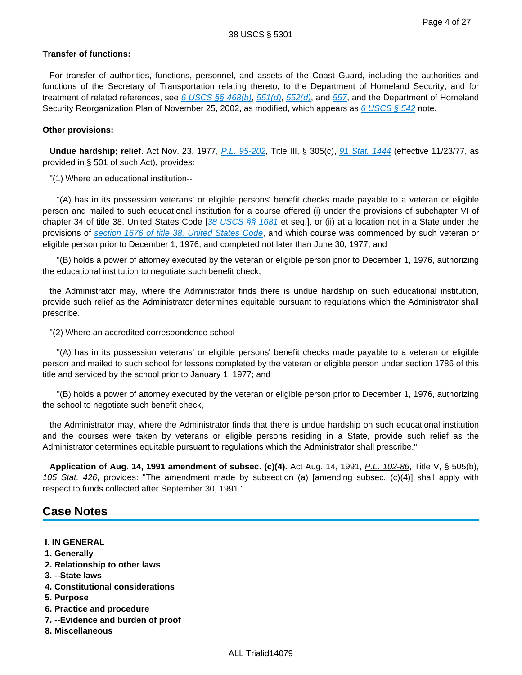Page 4 of 27

## **Transfer of functions:**

 For transfer of authorities, functions, personnel, and assets of the Coast Guard, including the authorities and functions of the Secretary of Transportation relating thereto, to the Department of Homeland Security, and for treatment of related references, see [6 USCS §§ 468\(b\)](http://advance.lexis.com/api/document?collection=statutes-legislation&id=urn:contentItem:4YF7-GKC1-NRF4-44H9-00000-00&context=),  $551(d)$ ,  $552(d)$ , and  $557$ , and the Department of Homeland Security Reorganization Plan of November 25, 2002, as modified, which appears as 6 USCS  $\S$  542 note.

## **Other provisions:**

 **Undue hardship; relief.** Act Nov. 23, 1977, [P.L. 95-202](http://advance.lexis.com/api/document?collection=statutes-legislation&id=urn:contentItem:5CD7-HSJ0-01XN-S08F-00000-00&context=), Title III, § 305(c), [91 Stat. 1444](http://advance.lexis.com/api/document?collection=statutes-legislation&id=urn:contentItem:5CD7-HSJ0-01XN-S08F-00000-00&context=) (effective 11/23/77, as provided in § 501 of such Act), provides:

"(1) Where an educational institution--

 "(A) has in its possession veterans' or eligible persons' benefit checks made payable to a veteran or eligible person and mailed to such educational institution for a course offered (i) under the provisions of subchapter VI of chapter 34 of title 38, United States Code [[38 USCS §§ 1681](http://advance.lexis.com/api/document?collection=statutes-legislation&id=urn:contentItem:472S-7T00-006F-11TR-00000-00&context=) et seq.], or (ii) at a location not in a State under the provisions of [section 1676 of title 38, United States Code](http://advance.lexis.com/api/document?collection=statutes-legislation&id=urn:contentItem:472S-7T00-006F-11TP-00000-00&context=), and which course was commenced by such veteran or eligible person prior to December 1, 1976, and completed not later than June 30, 1977; and

 "(B) holds a power of attorney executed by the veteran or eligible person prior to December 1, 1976, authorizing the educational institution to negotiate such benefit check,

 the Administrator may, where the Administrator finds there is undue hardship on such educational institution, provide such relief as the Administrator determines equitable pursuant to regulations which the Administrator shall prescribe.

"(2) Where an accredited correspondence school--

 "(A) has in its possession veterans' or eligible persons' benefit checks made payable to a veteran or eligible person and mailed to such school for lessons completed by the veteran or eligible person under section 1786 of this title and serviced by the school prior to January 1, 1977; and

 "(B) holds a power of attorney executed by the veteran or eligible person prior to December 1, 1976, authorizing the school to negotiate such benefit check,

 the Administrator may, where the Administrator finds that there is undue hardship on such educational institution and the courses were taken by veterans or eligible persons residing in a State, provide such relief as the Administrator determines equitable pursuant to regulations which the Administrator shall prescribe.".

 **Application of Aug. 14, 1991 amendment of subsec. (c)(4).** Act Aug. 14, 1991, P.L. 102-86, Title V, § 505(b), 105 Stat. 426, provides: "The amendment made by subsection (a) [amending subsec. (c)(4)] shall apply with respect to funds collected after September 30, 1991.".

# **Case Notes**

## **I. IN GENERAL**

- **1. Generally**
- **2. Relationship to other laws**
- **3. --State laws**
- **4. Constitutional considerations**
- **5. Purpose**
- **6. Practice and procedure**
- **7. --Evidence and burden of proof**
- **8. Miscellaneous**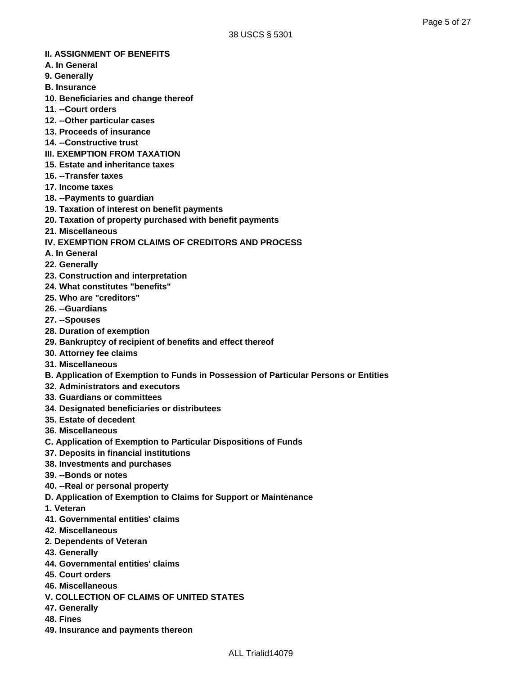## **II. ASSIGNMENT OF BENEFITS**

- **A. In General**
- **9. Generally**
- **B. Insurance**
- **10. Beneficiaries and change thereof**
- **11. --Court orders**
- **12. --Other particular cases**
- **13. Proceeds of insurance**
- **14. --Constructive trust**
- **III. EXEMPTION FROM TAXATION**
- **15. Estate and inheritance taxes**
- **16. --Transfer taxes**
- **17. Income taxes**
- **18. --Payments to guardian**
- **19. Taxation of interest on benefit payments**
- **20. Taxation of property purchased with benefit payments**
- **21. Miscellaneous**
- **IV. EXEMPTION FROM CLAIMS OF CREDITORS AND PROCESS**
- **A. In General**
- **22. Generally**
- **23. Construction and interpretation**
- **24. What constitutes "benefits"**
- **25. Who are "creditors"**
- **26. --Guardians**
- **27. --Spouses**
- **28. Duration of exemption**
- **29. Bankruptcy of recipient of benefits and effect thereof**
- **30. Attorney fee claims**
- **31. Miscellaneous**
- **B. Application of Exemption to Funds in Possession of Particular Persons or Entities**
- **32. Administrators and executors**
- **33. Guardians or committees**
- **34. Designated beneficiaries or distributees**
- **35. Estate of decedent**
- **36. Miscellaneous**
- **C. Application of Exemption to Particular Dispositions of Funds**
- **37. Deposits in financial institutions**
- **38. Investments and purchases**
- **39. --Bonds or notes**
- **40. --Real or personal property**
- **D. Application of Exemption to Claims for Support or Maintenance**
- **1. Veteran**
- **41. Governmental entities' claims**
- **42. Miscellaneous**
- **2. Dependents of Veteran**
- **43. Generally**
- **44. Governmental entities' claims**
- **45. Court orders**
- **46. Miscellaneous**
- **V. COLLECTION OF CLAIMS OF UNITED STATES**
- **47. Generally**
- **48. Fines**
- **49. Insurance and payments thereon**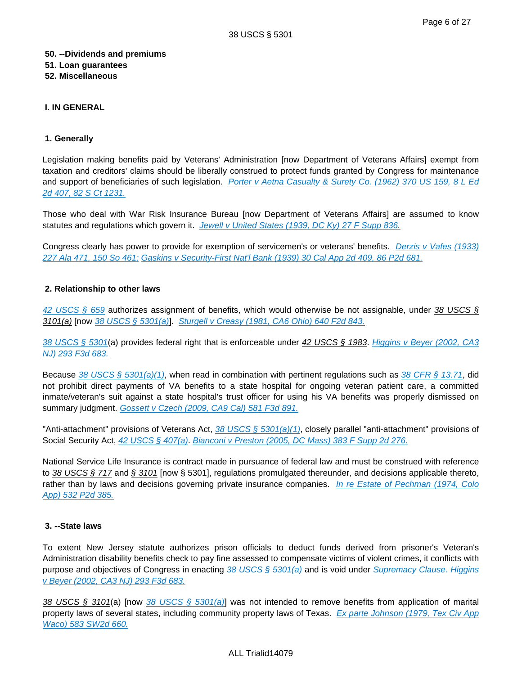## **50. --Dividends and premiums**

# **51. Loan guarantees**

**52. Miscellaneous**

# **I. IN GENERAL**

# **1. Generally**

Legislation making benefits paid by Veterans' Administration [now Department of Veterans Affairs] exempt from taxation and creditors' claims should be liberally construed to protect funds granted by Congress for maintenance and support of beneficiaries of such legislation. Porter v Aetna Casualty & Surety Co. (1962) 370 US 159, 8 L Ed [2d 407, 82 S Ct 1231.](http://advance.lexis.com/api/document?collection=cases&id=urn:contentItem:3S4X-H8H0-003B-S04D-00000-00&context=)

Those who deal with War Risk Insurance Bureau [now Department of Veterans Affairs] are assumed to know statutes and regulations which govern it. [Jewell v United States \(1939, DC Ky\) 27 F Supp 836.](http://advance.lexis.com/api/document?collection=cases&id=urn:contentItem:3S4V-K6P0-003B-W1YV-00000-00&context=)

Congress clearly has power to provide for exemption of servicemen's or veterans' benefits. Derzis v Vafes (1933) [227 Ala 471, 150 So 461;](http://advance.lexis.com/api/document?collection=cases&id=urn:contentItem:3YC6-5YF0-0046-84N1-00000-00&context=) [Gaskins v Security-First Nat'l Bank \(1939\) 30 Cal App 2d 409, 86 P2d 681.](http://advance.lexis.com/api/document?collection=cases&id=urn:contentItem:3S1W-P4H0-003V-P3VH-00000-00&context=)

# **2. Relationship to other laws**

[42 USCS § 659](http://advance.lexis.com/api/document?collection=statutes-legislation&id=urn:contentItem:4YF7-GSV1-NRF4-4182-00000-00&context=) authorizes assignment of benefits, which would otherwise be not assignable, under 38 USCS § 3101(a) [now [38 USCS § 5301\(a\)](http://advance.lexis.com/api/document?collection=statutes-legislation&id=urn:contentItem:4YF7-GR11-NRF4-4458-00000-00&context=)]. [Sturgell v Creasy \(1981, CA6 Ohio\) 640 F2d 843.](http://advance.lexis.com/api/document?collection=cases&id=urn:contentItem:3S4X-5970-0039-W1NP-00000-00&context=)

[38 USCS § 5301](http://advance.lexis.com/api/document?collection=statutes-legislation&id=urn:contentItem:4YF7-GR11-NRF4-4458-00000-00&context=)(a) provides federal right that is enforceable under 42 USCS § 1983. Higgins v Beyer (2002, CA3 [NJ\) 293 F3d 683.](http://advance.lexis.com/api/document?collection=cases&id=urn:contentItem:4621-SK90-0038-X0BF-00000-00&context=)

Because [38 USCS § 5301\(a\)\(1\)](http://advance.lexis.com/api/document?collection=statutes-legislation&id=urn:contentItem:4YF7-GR11-NRF4-4458-00000-00&context=), when read in combination with pertinent regulations such as [38 CFR § 13.71](http://advance.lexis.com/api/document?collection=administrative-codes&id=urn:contentItem:5GFW-1XG0-008H-0504-00000-00&context=), did not prohibit direct payments of VA benefits to a state hospital for ongoing veteran patient care, a committed inmate/veteran's suit against a state hospital's trust officer for using his VA benefits was properly dismissed on summary judgment. [Gossett v Czech \(2009, CA9 Cal\) 581 F3d 891.](http://advance.lexis.com/api/document?collection=cases&id=urn:contentItem:4X68-F2H0-TXFX-D2RC-00000-00&context=)

"Anti-attachment" provisions of Veterans Act,  $38 \text{ USCS }$   $\S 5301(a)(1)$ , closely parallel "anti-attachment" provisions of Social Security Act, [42 USCS § 407\(a\)](http://advance.lexis.com/api/document?collection=statutes-legislation&id=urn:contentItem:4YF7-GJ31-NRF4-420M-00000-00&context=). [Bianconi v Preston \(2005, DC Mass\) 383 F Supp 2d 276.](http://advance.lexis.com/api/document?collection=cases&id=urn:contentItem:4GY8-FDB0-TVVD-N39Y-00000-00&context=)

National Service Life Insurance is contract made in pursuance of federal law and must be construed with reference to 38 USCS § 717 and § 3101 [now § 5301], regulations promulgated thereunder, and decisions applicable thereto, rather than by laws and decisions governing private insurance companies. In re Estate of Pechman (1974, Colo [App\) 532 P2d 385.](http://advance.lexis.com/api/document?collection=cases&id=urn:contentItem:3RX4-5PG0-003D-926B-00000-00&context=)

# **3. --State laws**

To extent New Jersey statute authorizes prison officials to deduct funds derived from prisoner's Veteran's Administration disability benefits check to pay fine assessed to compensate victims of violent crimes, it conflicts with purpose and objectives of Congress in enacting [38 USCS § 5301\(a\)](http://advance.lexis.com/api/document?collection=statutes-legislation&id=urn:contentItem:4YF7-GR11-NRF4-4458-00000-00&context=) and is void under Supremacy Clause. Higgins [v Beyer \(2002, CA3 NJ\) 293 F3d 683.](http://advance.lexis.com/api/document?collection=cases&id=urn:contentItem:4621-SK90-0038-X0BF-00000-00&context=)

38 USCS § 3101(a) [now [38 USCS § 5301\(a\)](http://advance.lexis.com/api/document?collection=statutes-legislation&id=urn:contentItem:4YF7-GR11-NRF4-4458-00000-00&context=)] was not intended to remove benefits from application of marital property laws of several states, including community property laws of Texas. Ex parte Johnson (1979, Tex Civ App [Waco\) 583 SW2d 660.](http://advance.lexis.com/api/document?collection=cases&id=urn:contentItem:3S3K-59S0-003C-20TW-00000-00&context=)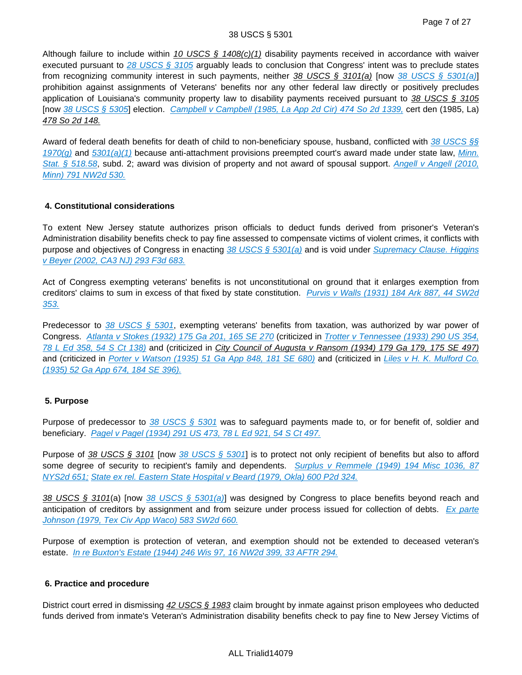## 38 USCS § 5301

Although failure to include within 10 USCS  $\frac{6}{1408(c)(1)}$  disability payments received in accordance with waiver executed pursuant to [28 USCS § 3105](http://advance.lexis.com/api/document?collection=statutes-legislation&id=urn:contentItem:4YF7-GK61-NRF4-42KK-00000-00&context=) arguably leads to conclusion that Congress' intent was to preclude states from recognizing community interest in such payments, neither 38 USCS § 3101(a) [now [38 USCS § 5301\(a\)](http://advance.lexis.com/api/document?collection=statutes-legislation&id=urn:contentItem:4YF7-GR11-NRF4-4458-00000-00&context=)] prohibition against assignments of Veterans' benefits nor any other federal law directly or positively precludes application of Louisiana's community property law to disability payments received pursuant to 38 USCS § 3105 [now [38 USCS § 5305](http://advance.lexis.com/api/document?collection=statutes-legislation&id=urn:contentItem:4YF7-GJS1-NRF4-43T2-00000-00&context=)] election. [Campbell v Campbell \(1985, La App 2d Cir\) 474 So 2d 1339,](http://advance.lexis.com/api/document?collection=cases&id=urn:contentItem:3S3K-4XD0-008T-X2KH-00000-00&context=) cert den (1985, La) 478 So 2d 148.

Award of federal death benefits for death of child to non-beneficiary spouse, husband, conflicted with 38 USCS §§  $1970(q)$  and  $5301(a)(1)$  because anti-attachment provisions preempted court's award made under state law, Minn. [Stat. § 518.58](http://advance.lexis.com/api/document?collection=statutes-legislation&id=urn:contentItem:5DCP-BTB1-DYB7-W1J9-00000-00&context=), subd. 2; award was division of property and not award of spousal support. Angell v Angell (2010, [Minn\) 791 NW2d 530.](http://advance.lexis.com/api/document?collection=cases&id=urn:contentItem:51NG-95F1-F04H-201S-00000-00&context=)

# **4. Constitutional considerations**

To extent New Jersey statute authorizes prison officials to deduct funds derived from prisoner's Veteran's Administration disability benefits check to pay fine assessed to compensate victims of violent crimes, it conflicts with purpose and objectives of Congress in enacting 38 USCS  $\S$  5301(a) and is void under Supremacy Clause. Higgins [v Beyer \(2002, CA3 NJ\) 293 F3d 683.](http://advance.lexis.com/api/document?collection=cases&id=urn:contentItem:4621-SK90-0038-X0BF-00000-00&context=)

Act of Congress exempting veterans' benefits is not unconstitutional on ground that it enlarges exemption from creditors' claims to sum in excess of that fixed by state constitution. Purvis v Walls (1931) 184 Ark 887, 44 SW2d [353.](http://advance.lexis.com/api/document?collection=cases&id=urn:contentItem:3YW7-X240-00KR-D132-00000-00&context=)

Predecessor to 38 USCS  $\S$  5301, exempting veterans' benefits from taxation, was authorized by war power of Congress. [Atlanta v Stokes \(1932\) 175 Ga 201, 165 SE 270](http://advance.lexis.com/api/document?collection=cases&id=urn:contentItem:3WRB-BS60-00KR-D1HX-00000-00&context=) (criticized in Trotter v Tennessee (1933) 290 US 354, [78 L Ed 358, 54 S Ct 138\)](http://advance.lexis.com/api/document?collection=cases&id=urn:contentItem:3S4X-CB70-003B-71KX-00000-00&context=) and (criticized in City Council of Augusta v Ransom (1934) 179 Ga 179, 175 SE 497) and (criticized in [Porter v Watson \(1935\) 51 Ga App 848, 181 SE 680\)](http://advance.lexis.com/api/document?collection=cases&id=urn:contentItem:3WVH-V020-00KR-D13K-00000-00&context=) and (criticized in Liles v H. K. Mulford Co. [\(1935\) 52 Ga App 674, 184 SE 396\).](http://advance.lexis.com/api/document?collection=cases&id=urn:contentItem:3WV3-VX90-00KR-D071-00000-00&context=)

# **5. Purpose**

Purpose of predecessor to 38 USCS  $\S$  5301 was to safeguard payments made to, or for benefit of, soldier and beneficiary. [Pagel v Pagel \(1934\) 291 US 473, 78 L Ed 921, 54 S Ct 497.](http://advance.lexis.com/api/document?collection=cases&id=urn:contentItem:3S4X-C700-003B-717P-00000-00&context=)

Purpose of 38 USCS § 3101 [now [38 USCS § 5301](http://advance.lexis.com/api/document?collection=statutes-legislation&id=urn:contentItem:4YF7-GR11-NRF4-4458-00000-00&context=)] is to protect not only recipient of benefits but also to afford some degree of security to recipient's family and dependents. Surplus v Remmele (1949) 194 Misc 1036, 87 [NYS2d 651;](http://advance.lexis.com/api/document?collection=cases&id=urn:contentItem:3S3K-1260-0044-F225-00000-00&context=) [State ex rel. Eastern State Hospital v Beard \(1979, Okla\) 600 P2d 324.](http://advance.lexis.com/api/document?collection=cases&id=urn:contentItem:3RVB-WS10-003G-63CM-00000-00&context=)

38 USCS § 3101(a) [now [38 USCS § 5301\(a\)](http://advance.lexis.com/api/document?collection=statutes-legislation&id=urn:contentItem:4YF7-GR11-NRF4-4458-00000-00&context=)] was designed by Congress to place benefits beyond reach and anticipation of creditors by assignment and from seizure under process issued for collection of debts. Ex parte [Johnson \(1979, Tex Civ App Waco\) 583 SW2d 660.](http://advance.lexis.com/api/document?collection=cases&id=urn:contentItem:3S3K-59S0-003C-20TW-00000-00&context=)

Purpose of exemption is protection of veteran, and exemption should not be extended to deceased veteran's estate. [In re Buxton's Estate \(1944\) 246 Wis 97, 16 NW2d 399, 33 AFTR 294.](http://advance.lexis.com/api/document?collection=cases&id=urn:contentItem:3RRR-2WJ0-003V-H0MP-00000-00&context=)

# **6. Practice and procedure**

District court erred in dismissing 42 USCS § 1983 claim brought by inmate against prison employees who deducted funds derived from inmate's Veteran's Administration disability benefits check to pay fine to New Jersey Victims of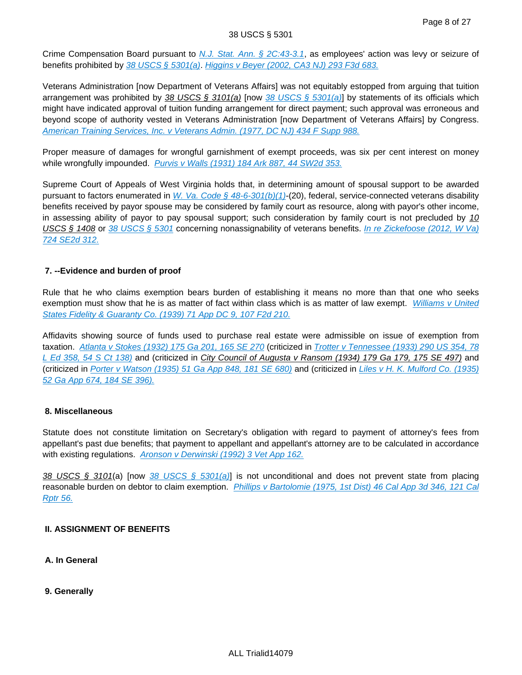Crime Compensation Board pursuant to [N.J. Stat. Ann. § 2C:43-3.1](http://advance.lexis.com/api/document?collection=statutes-legislation&id=urn:contentItem:5F0Y-BNR1-6F13-04TR-00000-00&context=), as employees' action was levy or seizure of benefits prohibited by  $38$  USCS  $\S$  5301(a). [Higgins v Beyer \(2002, CA3 NJ\) 293 F3d 683.](http://advance.lexis.com/api/document?collection=cases&id=urn:contentItem:4621-SK90-0038-X0BF-00000-00&context=)

Veterans Administration [now Department of Veterans Affairs] was not equitably estopped from arguing that tuition arrangement was prohibited by 38 USCS § 3101(a) [now [38 USCS § 5301\(a\)](http://advance.lexis.com/api/document?collection=statutes-legislation&id=urn:contentItem:4YF7-GR11-NRF4-4458-00000-00&context=)] by statements of its officials which might have indicated approval of tuition funding arrangement for direct payment; such approval was erroneous and beyond scope of authority vested in Veterans Administration [now Department of Veterans Affairs] by Congress. [American Training Services, Inc. v Veterans Admin. \(1977, DC NJ\) 434 F Supp 988.](http://advance.lexis.com/api/document?collection=cases&id=urn:contentItem:3S4N-TSH0-0054-71R1-00000-00&context=)

Proper measure of damages for wrongful garnishment of exempt proceeds, was six per cent interest on money while wrongfully impounded. [Purvis v Walls \(1931\) 184 Ark 887, 44 SW2d 353.](http://advance.lexis.com/api/document?collection=cases&id=urn:contentItem:3YW7-X240-00KR-D132-00000-00&context=)

Supreme Court of Appeals of West Virginia holds that, in determining amount of spousal support to be awarded pursuant to factors enumerated in W. Va. Code  $\S$  48-6-301(b)(1)-(20), federal, service-connected veterans disability benefits received by payor spouse may be considered by family court as resource, along with payor's other income, in assessing ability of payor to pay spousal support; such consideration by family court is not precluded by 10 USCS § 1408 or [38 USCS § 5301](http://advance.lexis.com/api/document?collection=statutes-legislation&id=urn:contentItem:4YF7-GR11-NRF4-4458-00000-00&context=) concerning nonassignability of veterans benefits. [In re Zickefoose \(2012, W Va\)](http://advance.lexis.com/api/document?collection=cases&id=urn:contentItem:54XX-3X71-F04M-G17H-00000-00&context=)  [724 SE2d 312.](http://advance.lexis.com/api/document?collection=cases&id=urn:contentItem:54XX-3X71-F04M-G17H-00000-00&context=)

# **7. --Evidence and burden of proof**

Rule that he who claims exemption bears burden of establishing it means no more than that one who seeks exemption must show that he is as matter of fact within class which is as matter of law exempt. Williams v United [States Fidelity & Guaranty Co. \(1939\) 71 App DC 9, 107 F2d 210.](http://advance.lexis.com/api/document?collection=cases&id=urn:contentItem:3S4W-SF60-003B-K109-00000-00&context=)

Affidavits showing source of funds used to purchase real estate were admissible on issue of exemption from taxation. [Atlanta v Stokes \(1932\) 175 Ga 201, 165 SE 270](http://advance.lexis.com/api/document?collection=cases&id=urn:contentItem:3WRB-BS60-00KR-D1HX-00000-00&context=) (criticized in Trotter v Tennessee (1933) 290 US 354, 78 [L Ed 358, 54 S Ct 138\)](http://advance.lexis.com/api/document?collection=cases&id=urn:contentItem:3S4X-CB70-003B-71KX-00000-00&context=) and (criticized in City Council of Augusta v Ransom (1934) 179 Ga 179, 175 SE 497) and (criticized in [Porter v Watson \(1935\) 51 Ga App 848, 181 SE 680\)](http://advance.lexis.com/api/document?collection=cases&id=urn:contentItem:3WVH-V020-00KR-D13K-00000-00&context=) and (criticized in [Liles v H. K. Mulford Co. \(1935\)](http://advance.lexis.com/api/document?collection=cases&id=urn:contentItem:3WV3-VX90-00KR-D071-00000-00&context=)  [52 Ga App 674, 184 SE 396\).](http://advance.lexis.com/api/document?collection=cases&id=urn:contentItem:3WV3-VX90-00KR-D071-00000-00&context=)

# **8. Miscellaneous**

Statute does not constitute limitation on Secretary's obligation with regard to payment of attorney's fees from appellant's past due benefits; that payment to appellant and appellant's attorney are to be calculated in accordance with existing regulations. [Aronson v Derwinski \(1992\) 3 Vet App 162.](http://advance.lexis.com/api/document?collection=cases&id=urn:contentItem:3RRC-5860-003N-51HY-00000-00&context=)

38 USCS § 3101(a) [now [38 USCS § 5301\(a\)](http://advance.lexis.com/api/document?collection=statutes-legislation&id=urn:contentItem:4YF7-GR11-NRF4-4458-00000-00&context=)] is not unconditional and does not prevent state from placing reasonable burden on debtor to claim exemption. Phillips v Bartolomie (1975, 1st Dist) 46 Cal App 3d 346, 121 Cal [Rptr 56.](http://advance.lexis.com/api/document?collection=cases&id=urn:contentItem:3S11-V860-003C-R16T-00000-00&context=)

# **II. ASSIGNMENT OF BENEFITS**

**A. In General**

**9. Generally**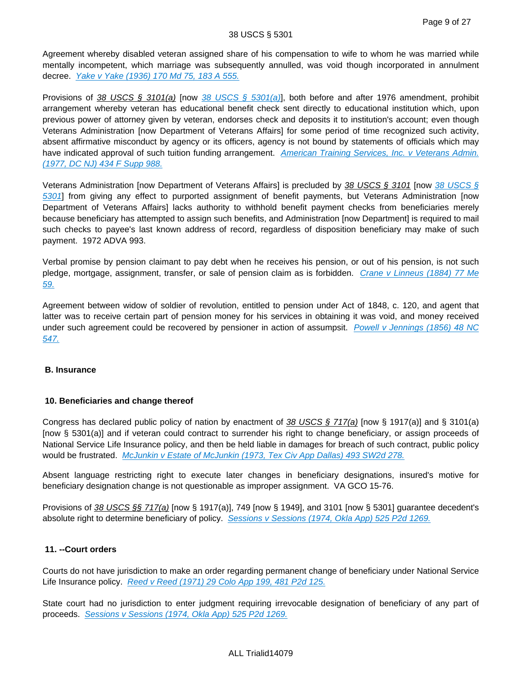Agreement whereby disabled veteran assigned share of his compensation to wife to whom he was married while mentally incompetent, which marriage was subsequently annulled, was void though incorporated in annulment decree. [Yake v Yake \(1936\) 170 Md 75, 183 A 555.](http://advance.lexis.com/api/document?collection=cases&id=urn:contentItem:3XVM-JFN0-00KR-F189-00000-00&context=)

Provisions of 38 USCS § 3101(a) [now [38 USCS § 5301\(a\)](http://advance.lexis.com/api/document?collection=statutes-legislation&id=urn:contentItem:4YF7-GR11-NRF4-4458-00000-00&context=)], both before and after 1976 amendment, prohibit arrangement whereby veteran has educational benefit check sent directly to educational institution which, upon previous power of attorney given by veteran, endorses check and deposits it to institution's account; even though Veterans Administration [now Department of Veterans Affairs] for some period of time recognized such activity, absent affirmative misconduct by agency or its officers, agency is not bound by statements of officials which may have indicated approval of such tuition funding arrangement. American Training Services, Inc. v Veterans Admin. [\(1977, DC NJ\) 434 F Supp 988.](http://advance.lexis.com/api/document?collection=cases&id=urn:contentItem:3S4N-TSH0-0054-71R1-00000-00&context=)

Veterans Administration [now Department of Veterans Affairs] is precluded by [38 USCS §](http://advance.lexis.com/api/document?collection=statutes-legislation&id=urn:contentItem:4YF7-GR11-NRF4-4458-00000-00&context=) 3101 [now 38 USCS § [5301](http://advance.lexis.com/api/document?collection=statutes-legislation&id=urn:contentItem:4YF7-GR11-NRF4-4458-00000-00&context=)] from giving any effect to purported assignment of benefit payments, but Veterans Administration [now Department of Veterans Affairs] lacks authority to withhold benefit payment checks from beneficiaries merely because beneficiary has attempted to assign such benefits, and Administration [now Department] is required to mail such checks to payee's last known address of record, regardless of disposition beneficiary may make of such payment. 1972 ADVA 993.

Verbal promise by pension claimant to pay debt when he receives his pension, or out of his pension, is not such pledge, mortgage, assignment, transfer, or sale of pension claim as is forbidden. [Crane v Linneus \(1884\) 77 Me](http://advance.lexis.com/api/document?collection=cases&id=urn:contentItem:3YMW-8XV0-00KR-C2FD-00000-00&context=)  [59.](http://advance.lexis.com/api/document?collection=cases&id=urn:contentItem:3YMW-8XV0-00KR-C2FD-00000-00&context=)

Agreement between widow of soldier of revolution, entitled to pension under Act of 1848, c. 120, and agent that latter was to receive certain part of pension money for his services in obtaining it was void, and money received under such agreement could be recovered by pensioner in action of assumpsit. Powell v Jennings (1856) 48 NC [547.](http://advance.lexis.com/api/document?collection=cases&id=urn:contentItem:3XK6-GJR0-00KR-F0BW-00000-00&context=)

# **B. Insurance**

# **10. Beneficiaries and change thereof**

Congress has declared public policy of nation by enactment of  $38 \text{ USCS}$   $\S$  717(a) [now § 1917(a)] and § 3101(a) [now § 5301(a)] and if veteran could contract to surrender his right to change beneficiary, or assign proceeds of National Service Life Insurance policy, and then be held liable in damages for breach of such contract, public policy would be frustrated. [McJunkin v Estate of McJunkin \(1973, Tex Civ App Dallas\) 493 SW2d 278.](http://advance.lexis.com/api/document?collection=cases&id=urn:contentItem:3RRH-CJ60-003C-5206-00000-00&context=)

Absent language restricting right to execute later changes in beneficiary designations, insured's motive for beneficiary designation change is not questionable as improper assignment. VA GCO 15-76.

Provisions of 38 USCS §§ 717(a) [now § 1917(a)], 749 [now § 1949], and 3101 [now § 5301] guarantee decedent's absolute right to determine beneficiary of policy. [Sessions v Sessions \(1974, Okla App\) 525 P2d 1269.](http://advance.lexis.com/api/document?collection=cases&id=urn:contentItem:3RVC-15S0-003G-64RS-00000-00&context=)

# **11. --Court orders**

Courts do not have jurisdiction to make an order regarding permanent change of beneficiary under National Service Life Insurance policy. [Reed v Reed \(1971\) 29 Colo App 199, 481 P2d 125.](http://advance.lexis.com/api/document?collection=cases&id=urn:contentItem:3RX4-6G70-003D-9407-00000-00&context=)

State court had no jurisdiction to enter judgment requiring irrevocable designation of beneficiary of any part of proceeds. [Sessions v Sessions \(1974, Okla App\) 525 P2d 1269.](http://advance.lexis.com/api/document?collection=cases&id=urn:contentItem:3RVC-15S0-003G-64RS-00000-00&context=)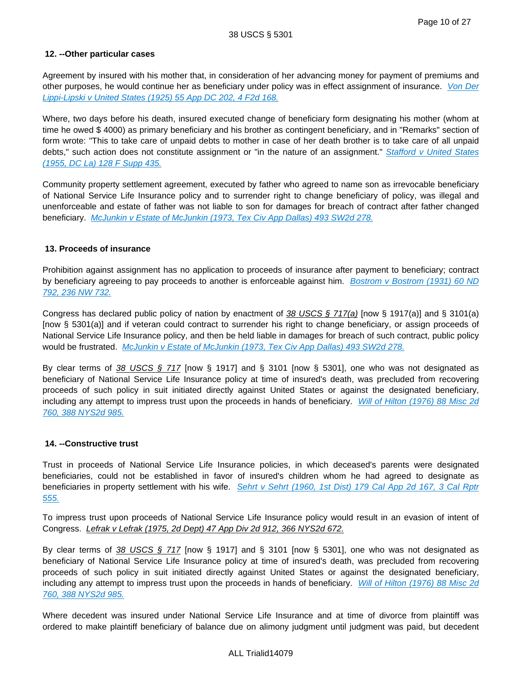## **12. --Other particular cases**

Agreement by insured with his mother that, in consideration of her advancing money for payment of premiums and other purposes, he would continue her as beneficiary under policy was in effect assignment of insurance. Von Der [Lippi-Lipski v United States \(1925\) 55 App DC 202, 4 F2d 168.](http://advance.lexis.com/api/document?collection=cases&id=urn:contentItem:3S4X-1PP0-003B-K190-00000-00&context=)

Where, two days before his death, insured executed change of beneficiary form designating his mother (whom at time he owed \$ 4000) as primary beneficiary and his brother as contingent beneficiary, and in "Remarks" section of form wrote: "This to take care of unpaid debts to mother in case of her death brother is to take care of all unpaid debts," such action does not constitute assignment or "in the nature of an assignment." Stafford v United States [\(1955, DC La\) 128 F Supp 435.](http://advance.lexis.com/api/document?collection=cases&id=urn:contentItem:3S4V-S3N0-003B-2319-00000-00&context=)

Community property settlement agreement, executed by father who agreed to name son as irrevocable beneficiary of National Service Life Insurance policy and to surrender right to change beneficiary of policy, was illegal and unenforceable and estate of father was not liable to son for damages for breach of contract after father changed beneficiary. [McJunkin v Estate of McJunkin \(1973, Tex Civ App Dallas\) 493 SW2d 278.](http://advance.lexis.com/api/document?collection=cases&id=urn:contentItem:3RRH-CJ60-003C-5206-00000-00&context=)

## **13. Proceeds of insurance**

Prohibition against assignment has no application to proceeds of insurance after payment to beneficiary; contract by beneficiary agreeing to pay proceeds to another is enforceable against him. Bostrom v Bostrom (1931) 60 ND [792, 236 NW 732.](http://advance.lexis.com/api/document?collection=cases&id=urn:contentItem:3RKP-1KX0-000K-21CC-00000-00&context=)

Congress has declared public policy of nation by enactment of  $38$  USCS § 717(a) [now § 1917(a)] and § 3101(a) [now § 5301(a)] and if veteran could contract to surrender his right to change beneficiary, or assign proceeds of National Service Life Insurance policy, and then be held liable in damages for breach of such contract, public policy would be frustrated. [McJunkin v Estate of McJunkin \(1973, Tex Civ App Dallas\) 493 SW2d 278.](http://advance.lexis.com/api/document?collection=cases&id=urn:contentItem:3RRH-CJ60-003C-5206-00000-00&context=)

By clear terms of 38 USCS § 717 [now § 1917] and § 3101 [now § 5301], one who was not designated as beneficiary of National Service Life Insurance policy at time of insured's death, was precluded from recovering proceeds of such policy in suit initiated directly against United States or against the designated beneficiary, including any attempt to impress trust upon the proceeds in hands of beneficiary. Will of Hilton (1976) 88 Misc 2d [760, 388 NYS2d 985.](http://advance.lexis.com/api/document?collection=cases&id=urn:contentItem:3RRS-GY30-003C-F06W-00000-00&context=)

## **14. --Constructive trust**

Trust in proceeds of National Service Life Insurance policies, in which deceased's parents were designated beneficiaries, could not be established in favor of insured's children whom he had agreed to designate as beneficiaries in property settlement with his wife. Sehrt v Sehrt (1960, 1st Dist) 179 Cal App 2d 167, 3 Cal Rptr [555.](http://advance.lexis.com/api/document?collection=cases&id=urn:contentItem:3RRK-KTJ0-003C-32T0-00000-00&context=)

To impress trust upon proceeds of National Service Life Insurance policy would result in an evasion of intent of Congress. Lefrak v Lefrak (1975, 2d Dept) 47 App Div 2d 912, 366 NYS2d 672.

By clear terms of 38 USCS  $\S$  717 [now  $\S$  1917] and  $\S$  3101 [now  $\S$  5301], one who was not designated as beneficiary of National Service Life Insurance policy at time of insured's death, was precluded from recovering proceeds of such policy in suit initiated directly against United States or against the designated beneficiary, including any attempt to impress trust upon the proceeds in hands of beneficiary. Will of Hilton (1976) 88 Misc 2d [760, 388 NYS2d 985.](http://advance.lexis.com/api/document?collection=cases&id=urn:contentItem:3RRS-GY30-003C-F06W-00000-00&context=)

Where decedent was insured under National Service Life Insurance and at time of divorce from plaintiff was ordered to make plaintiff beneficiary of balance due on alimony judgment until judgment was paid, but decedent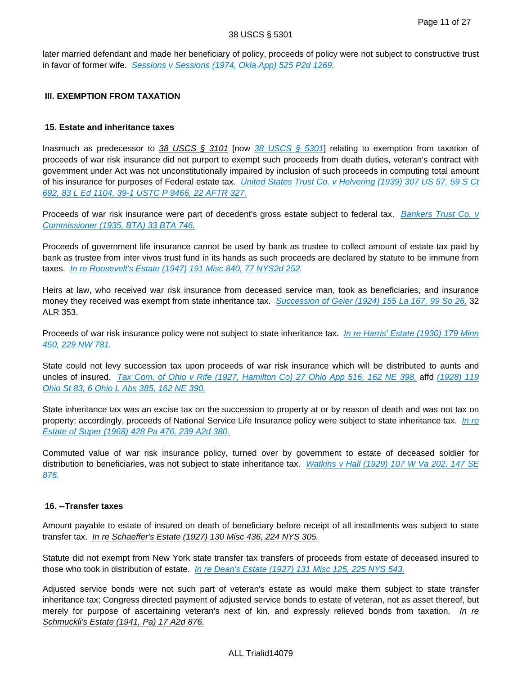later married defendant and made her beneficiary of policy, proceeds of policy were not subject to constructive trust in favor of former wife. [Sessions v Sessions \(1974, Okla App\) 525 P2d 1269.](http://advance.lexis.com/api/document?collection=cases&id=urn:contentItem:3RVC-15S0-003G-64RS-00000-00&context=)

## **III. EXEMPTION FROM TAXATION**

## **15. Estate and inheritance taxes**

Inasmuch as predecessor to 38 USCS § 3101 [now [38 USCS § 5301](http://advance.lexis.com/api/document?collection=statutes-legislation&id=urn:contentItem:4YF7-GR11-NRF4-4458-00000-00&context=)] relating to exemption from taxation of proceeds of war risk insurance did not purport to exempt such proceeds from death duties, veteran's contract with government under Act was not unconstitutionally impaired by inclusion of such proceeds in computing total amount of his insurance for purposes of Federal estate tax. *United States Trust Co. v Helvering (1939) 307 US 57, 59 S Ct* [692, 83 L Ed 1104, 39-1 USTC P 9466, 22 AFTR 327.](http://advance.lexis.com/api/document?collection=cases&id=urn:contentItem:3S4X-8250-003B-7448-00000-00&context=)

Proceeds of war risk insurance were part of decedent's gross estate subject to federal tax. Bankers Trust Co. v [Commissioner \(1935, BTA\) 33 BTA 746.](http://advance.lexis.com/api/document?collection=cases&id=urn:contentItem:3SWS-VK40-003S-K373-00000-00&context=)

Proceeds of government life insurance cannot be used by bank as trustee to collect amount of estate tax paid by bank as trustee from inter vivos trust fund in its hands as such proceeds are declared by statute to be immune from taxes. [In re Roosevelt's Estate \(1947\) 191 Misc 840, 77 NYS2d 252.](http://advance.lexis.com/api/document?collection=cases&id=urn:contentItem:3S3K-18D0-0044-F061-00000-00&context=)

Heirs at law, who received war risk insurance from deceased service man, took as beneficiaries, and insurance money they received was exempt from state inheritance tax. [Succession of Geier \(1924\) 155 La 167, 99 So 26,](http://advance.lexis.com/api/document?collection=cases&id=urn:contentItem:3S3K-7Y50-003G-42R4-00000-00&context=) 32 ALR 353.

Proceeds of war risk insurance policy were not subject to state inheritance tax. In re Harris' Estate (1930) 179 Minn [450, 229 NW 781.](http://advance.lexis.com/api/document?collection=cases&id=urn:contentItem:3RRM-6000-003G-V50T-00000-00&context=)

State could not levy succession tax upon proceeds of war risk insurance which will be distributed to aunts and uncles of insured. [Tax Com. of Ohio v Rife \(1927, Hamilton Co\) 27 Ohio App 516, 162 NE 398,](http://advance.lexis.com/api/document?collection=cases&id=urn:contentItem:3RRM-WY60-003C-73SD-00000-00&context=) affd (1928) 119 [Ohio St 83, 6 Ohio L Abs 385, 162 NE 390.](http://advance.lexis.com/api/document?collection=cases&id=urn:contentItem:3RRM-T2V0-003C-72TF-00000-00&context=)

State inheritance tax was an excise tax on the succession to property at or by reason of death and was not tax on property; accordingly, proceeds of National Service Life Insurance policy were subject to state inheritance tax. In re [Estate of Super \(1968\) 428 Pa 476, 239 A2d 380.](http://advance.lexis.com/api/document?collection=cases&id=urn:contentItem:3RRM-TGV0-003C-M3R8-00000-00&context=)

Commuted value of war risk insurance policy, turned over by government to estate of deceased soldier for distribution to beneficiaries, was not subject to state inheritance tax. Watkins v Hall (1929) 107 W Va 202, 147 SE [876.](http://advance.lexis.com/api/document?collection=cases&id=urn:contentItem:3XMH-7JP0-00KR-C1RN-00000-00&context=)

#### **16. --Transfer taxes**

Amount payable to estate of insured on death of beneficiary before receipt of all installments was subject to state transfer tax. In re Schaeffer's Estate (1927) 130 Misc 436, 224 NYS 305.

Statute did not exempt from New York state transfer tax transfers of proceeds from estate of deceased insured to those who took in distribution of estate. [In re Dean's Estate \(1927\) 131 Misc 125, 225 NYS 543.](http://advance.lexis.com/api/document?collection=cases&id=urn:contentItem:3S3K-3K20-0044-F3FJ-00000-00&context=)

Adjusted service bonds were not such part of veteran's estate as would make them subject to state transfer inheritance tax; Congress directed payment of adjusted service bonds to estate of veteran, not as asset thereof, but merely for purpose of ascertaining veteran's next of kin, and expressly relieved bonds from taxation. In re Schmuckli's Estate (1941, Pa) 17 A2d 876.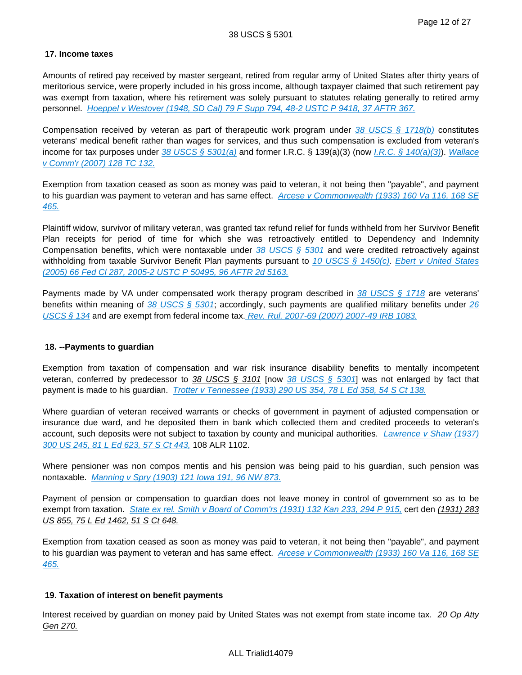## **17. Income taxes**

Amounts of retired pay received by master sergeant, retired from regular army of United States after thirty years of meritorious service, were properly included in his gross income, although taxpayer claimed that such retirement pay was exempt from taxation, where his retirement was solely pursuant to statutes relating generally to retired army personnel. [Hoeppel v Westover \(1948, SD Cal\) 79 F Supp 794, 48-2 USTC P 9418, 37 AFTR 367.](http://advance.lexis.com/api/document?collection=cases&id=urn:contentItem:3S4V-JGK0-003B-12PR-00000-00&context=)

Compensation received by veteran as part of therapeutic work program under [38 USCS § 1718\(b\)](http://advance.lexis.com/api/document?collection=statutes-legislation&id=urn:contentItem:4YF7-GMP1-NRF4-41P7-00000-00&context=) constitutes veterans' medical benefit rather than wages for services, and thus such compensation is excluded from veteran's income for tax purposes under [38 USCS § 5301\(a\)](http://advance.lexis.com/api/document?collection=statutes-legislation&id=urn:contentItem:4YF7-GR11-NRF4-4458-00000-00&context=) and former I.R.C. § 139(a)(3) (now [I.R.C. § 140\(a\)\(3\)](http://advance.lexis.com/api/document?collection=statutes-legislation&id=urn:contentItem:4YF7-GW61-NRF4-43GD-00000-00&context=)). Wallace [v Comm'r \(2007\) 128 TC 132.](http://advance.lexis.com/api/document?collection=cases&id=urn:contentItem:4NHF-Y9T0-003N-304N-00000-00&context=)

Exemption from taxation ceased as soon as money was paid to veteran, it not being then "payable", and payment to his guardian was payment to veteran and has same effect. Arcese v Commonwealth (1933) 160 Va 116, 168 SE [465.](http://advance.lexis.com/api/document?collection=cases&id=urn:contentItem:3S12-0HH0-003D-02YC-00000-00&context=)

Plaintiff widow, survivor of military veteran, was granted tax refund relief for funds withheld from her Survivor Benefit Plan receipts for period of time for which she was retroactively entitled to Dependency and Indemnity Compensation benefits, which were nontaxable under  $38 \text{ USCS }$  \$  $5301$  and were credited retroactively against withholding from taxable Survivor Benefit Plan payments pursuant to [10 USCS § 1450\(c\)](http://advance.lexis.com/api/document?collection=statutes-legislation&id=urn:contentItem:4YF7-GKB1-NRF4-449P-00000-00&context=). Ebert v United States [\(2005\) 66 Fed Cl 287, 2005-2 USTC P 50495, 96 AFTR 2d 5163.](http://advance.lexis.com/api/document?collection=cases&id=urn:contentItem:4GNK-S030-0004-S0K8-00000-00&context=)

Payments made by VA under compensated work therapy program described in  $\frac{38 \text{ USCS}}{5}$  1718 are veterans' benefits within meaning of 38 USCS  $\S$  5301; accordingly, such payments are qualified military benefits under 26 [USCS § 134](http://advance.lexis.com/api/document?collection=statutes-legislation&id=urn:contentItem:4YF7-GS91-NRF4-40SD-00000-00&context=) and are exempt from federal income tax. [Rev. Rul. 2007-69 \(2007\) 2007-49 IRB 1083.](http://advance.lexis.com/api/document?collection=administrative-materials&id=urn:contentItem:4R5G-T8H0-TX09-913K-00000-00&context=)

## **18. --Payments to guardian**

Exemption from taxation of compensation and war risk insurance disability benefits to mentally incompetent veteran, conferred by predecessor to 38 USCS § 3101 [now [38 USCS § 5301](http://advance.lexis.com/api/document?collection=statutes-legislation&id=urn:contentItem:4YF7-GR11-NRF4-4458-00000-00&context=)] was not enlarged by fact that payment is made to his guardian. [Trotter v Tennessee \(1933\) 290 US 354, 78 L Ed 358, 54 S Ct 138.](http://advance.lexis.com/api/document?collection=cases&id=urn:contentItem:3S4X-CB70-003B-71KX-00000-00&context=)

Where guardian of veteran received warrants or checks of government in payment of adjusted compensation or insurance due ward, and he deposited them in bank which collected them and credited proceeds to veteran's account, such deposits were not subject to taxation by county and municipal authorities. Lawrence v Shaw (1937) [300 US 245, 81 L Ed 623, 57 S Ct 443,](http://advance.lexis.com/api/document?collection=cases&id=urn:contentItem:3S4X-9DG0-003B-7264-00000-00&context=) 108 ALR 1102.

Where pensioner was non compos mentis and his pension was being paid to his guardian, such pension was nontaxable. [Manning v Spry \(1903\) 121 Iowa 191, 96 NW 873.](http://advance.lexis.com/api/document?collection=cases&id=urn:contentItem:3YSX-RY40-00KR-F225-00000-00&context=)

Payment of pension or compensation to guardian does not leave money in control of government so as to be exempt from taxation. [State ex rel. Smith v Board of Comm'rs \(1931\) 132 Kan 233, 294 P 915,](http://advance.lexis.com/api/document?collection=cases&id=urn:contentItem:3WY4-00C0-00KR-D2JS-00000-00&context=) cert den (1931) 283 US 855, 75 L Ed 1462, 51 S Ct 648.

Exemption from taxation ceased as soon as money was paid to veteran, it not being then "payable", and payment to his guardian was payment to veteran and has same effect. Arcese v Commonwealth (1933) 160 Va 116, 168 SE [465.](http://advance.lexis.com/api/document?collection=cases&id=urn:contentItem:3S12-0HH0-003D-02YC-00000-00&context=)

## **19. Taxation of interest on benefit payments**

Interest received by guardian on money paid by United States was not exempt from state income tax. 20 Op Atty Gen 270.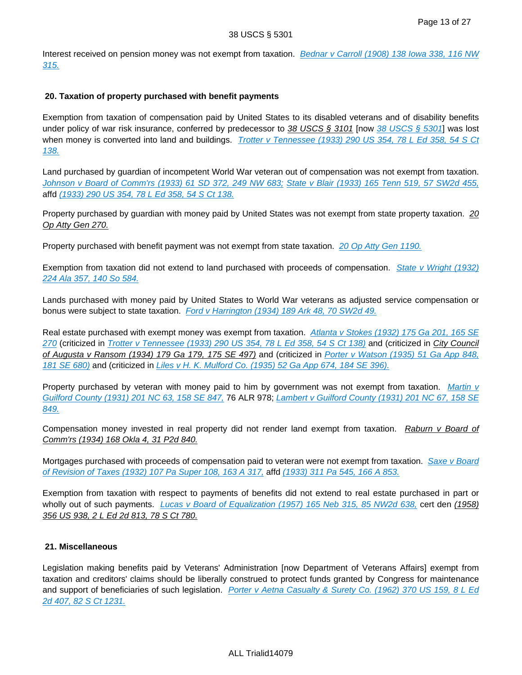Interest received on pension money was not exempt from taxation. Bednar v Carroll (1908) 138 Iowa 338, 116 NW [315.](http://advance.lexis.com/api/document?collection=cases&id=urn:contentItem:3YS1-WT60-00KR-F3VS-00000-00&context=)

## **20. Taxation of property purchased with benefit payments**

Exemption from taxation of compensation paid by United States to its disabled veterans and of disability benefits under policy of war risk insurance, conferred by predecessor to 38 USCS § 3101 [now [38 USCS § 5301](http://advance.lexis.com/api/document?collection=statutes-legislation&id=urn:contentItem:4YF7-GR11-NRF4-4458-00000-00&context=)] was lost when money is converted into land and buildings. Trotter v Tennessee (1933) 290 US 354, 78 L Ed 358, 54 S Ct [138.](http://advance.lexis.com/api/document?collection=cases&id=urn:contentItem:3S4X-CB70-003B-71KX-00000-00&context=)

Land purchased by guardian of incompetent World War veteran out of compensation was not exempt from taxation. [Johnson v Board of Comm'rs \(1933\) 61 SD 372, 249 NW 683;](http://advance.lexis.com/api/document?collection=cases&id=urn:contentItem:401R-58S0-00KR-C33T-00000-00&context=) [State v Blair \(1933\) 165 Tenn 519, 57 SW2d 455,](http://advance.lexis.com/api/document?collection=cases&id=urn:contentItem:3X81-PX90-00KR-D13M-00000-00&context=) affd [\(1933\) 290 US 354, 78 L Ed 358, 54 S Ct 138.](http://advance.lexis.com/api/document?collection=cases&id=urn:contentItem:3S4X-CB70-003B-71KX-00000-00&context=)

Property purchased by guardian with money paid by United States was not exempt from state property taxation. 20 Op Atty Gen 270.

Property purchased with benefit payment was not exempt from state taxation. [20 Op Atty Gen 1190.](http://advance.lexis.com/api/document?collection=administrative-materials&id=urn:contentItem:3RHK-GVP0-002F-V1NG-00000-00&context=)

Exemption from taxation did not extend to land purchased with proceeds of compensation. State v Wright (1932) [224 Ala 357, 140 So 584.](http://advance.lexis.com/api/document?collection=cases&id=urn:contentItem:3YCT-WW70-0046-8431-00000-00&context=)

Lands purchased with money paid by United States to World War veterans as adjusted service compensation or bonus were subject to state taxation. [Ford v Harrington \(1934\) 189 Ark 48, 70 SW2d 49.](http://advance.lexis.com/api/document?collection=cases&id=urn:contentItem:3YWX-FVX0-00KR-D1PD-00000-00&context=)

Real estate purchased with exempt money was exempt from taxation. Atlanta v Stokes (1932) 175 Ga 201, 165 SE [270](http://advance.lexis.com/api/document?collection=cases&id=urn:contentItem:3WRB-BS60-00KR-D1HX-00000-00&context=) (criticized in [Trotter v Tennessee \(1933\) 290 US 354, 78 L Ed 358, 54 S Ct 138\)](http://advance.lexis.com/api/document?collection=cases&id=urn:contentItem:3S4X-CB70-003B-71KX-00000-00&context=) and (criticized in City Council of Augusta v Ransom (1934) 179 Ga 179, 175 SE 497) and (criticized in Porter v Watson (1935) 51 Ga App 848, [181 SE 680\)](http://advance.lexis.com/api/document?collection=cases&id=urn:contentItem:3WVH-V020-00KR-D13K-00000-00&context=) and (criticized in [Liles v H. K. Mulford Co. \(1935\) 52 Ga App 674, 184 SE 396\).](http://advance.lexis.com/api/document?collection=cases&id=urn:contentItem:3WV3-VX90-00KR-D071-00000-00&context=)

Property purchased by veteran with money paid to him by government was not exempt from taxation. Martin v [Guilford County \(1931\) 201 NC 63, 158 SE 847,](http://advance.lexis.com/api/document?collection=cases&id=urn:contentItem:3XPC-HVB0-00KR-F169-00000-00&context=) 76 ALR 978; Lambert v Guilford County (1931) 201 NC 67, 158 SE [849.](http://advance.lexis.com/api/document?collection=cases&id=urn:contentItem:3XPC-HVB0-00KR-F16B-00000-00&context=)

Compensation money invested in real property did not render land exempt from taxation. Raburn v Board of Comm'rs (1934) 168 Okla 4, 31 P2d 840.

Mortgages purchased with proceeds of compensation paid to veteran were not exempt from taxation. Saxe v Board [of Revision of Taxes \(1932\) 107 Pa Super 108, 163 A 317,](http://advance.lexis.com/api/document?collection=cases&id=urn:contentItem:3W5S-BG00-00KR-C3GS-00000-00&context=) affd [\(1933\) 311 Pa 545, 166 A 853.](http://advance.lexis.com/api/document?collection=cases&id=urn:contentItem:3RRM-WTF0-003C-M29H-00000-00&context=)

Exemption from taxation with respect to payments of benefits did not extend to real estate purchased in part or wholly out of such payments. *Lucas v Board of Equalization (1957) 165 Neb 315, 85 NW2d 638*, cert den (1958) 356 US 938, 2 L Ed 2d 813, 78 S Ct 780.

## **21. Miscellaneous**

Legislation making benefits paid by Veterans' Administration [now Department of Veterans Affairs] exempt from taxation and creditors' claims should be liberally construed to protect funds granted by Congress for maintenance and support of beneficiaries of such legislation. Porter v Aetna Casualty & Surety Co. (1962) 370 US 159, 8 L Ed [2d 407, 82 S Ct 1231.](http://advance.lexis.com/api/document?collection=cases&id=urn:contentItem:3S4X-H8H0-003B-S04D-00000-00&context=)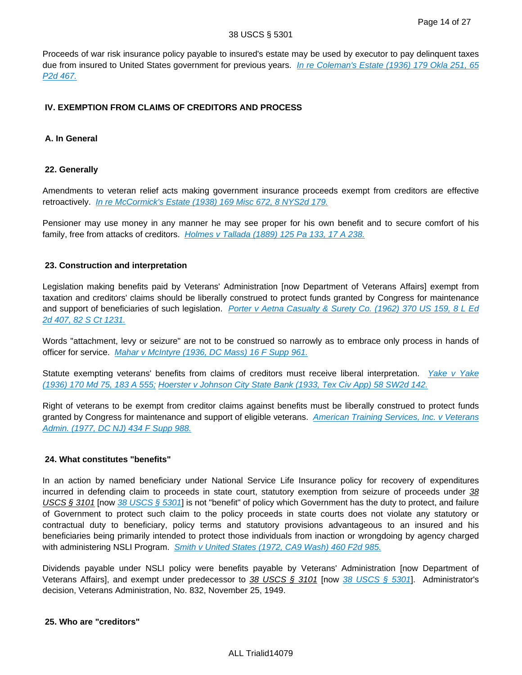Proceeds of war risk insurance policy payable to insured's estate may be used by executor to pay delinquent taxes due from insured to United States government for previous years. In re Coleman's Estate (1936) 179 Okla 251, 65 [P2d 467.](http://advance.lexis.com/api/document?collection=cases&id=urn:contentItem:3XGG-64J0-00KR-D0J7-00000-00&context=)

## **IV. EXEMPTION FROM CLAIMS OF CREDITORS AND PROCESS**

## **A. In General**

### **22. Generally**

Amendments to veteran relief acts making government insurance proceeds exempt from creditors are effective retroactively. [In re McCormick's Estate \(1938\) 169 Misc 672, 8 NYS2d 179.](http://advance.lexis.com/api/document?collection=cases&id=urn:contentItem:3S3K-2F30-0044-F1B5-00000-00&context=)

Pensioner may use money in any manner he may see proper for his own benefit and to secure comfort of his family, free from attacks of creditors. [Holmes v Tallada \(1889\) 125 Pa 133, 17 A 238.](http://advance.lexis.com/api/document?collection=cases&id=urn:contentItem:3RRH-YV90-003G-X3P2-00000-00&context=)

## **23. Construction and interpretation**

Legislation making benefits paid by Veterans' Administration [now Department of Veterans Affairs] exempt from taxation and creditors' claims should be liberally construed to protect funds granted by Congress for maintenance and support of beneficiaries of such legislation. Porter v Aetna Casualty & Surety Co. (1962) 370 US 159, 8 L Ed [2d 407, 82 S Ct 1231.](http://advance.lexis.com/api/document?collection=cases&id=urn:contentItem:3S4X-H8H0-003B-S04D-00000-00&context=)

Words "attachment, levy or seizure" are not to be construed so narrowly as to embrace only process in hands of officer for service. [Mahar v McIntyre \(1936, DC Mass\) 16 F Supp 961.](http://advance.lexis.com/api/document?collection=cases&id=urn:contentItem:3S4V-KW40-003B-W09X-00000-00&context=)

Statute exempting veterans' benefits from claims of creditors must receive liberal interpretation. Yake v Yake [\(1936\) 170 Md 75, 183 A 555;](http://advance.lexis.com/api/document?collection=cases&id=urn:contentItem:3XVM-JFN0-00KR-F189-00000-00&context=) [Hoerster v Johnson City State Bank \(1933, Tex Civ App\) 58 SW2d 142.](http://advance.lexis.com/api/document?collection=cases&id=urn:contentItem:3VNP-1H00-0039-42C8-00000-00&context=)

Right of veterans to be exempt from creditor claims against benefits must be liberally construed to protect funds granted by Congress for maintenance and support of eligible veterans. American Training Services, Inc. v Veterans [Admin. \(1977, DC NJ\) 434 F Supp 988.](http://advance.lexis.com/api/document?collection=cases&id=urn:contentItem:3S4N-TSH0-0054-71R1-00000-00&context=)

## **24. What constitutes "benefits"**

In an action by named beneficiary under National Service Life Insurance policy for recovery of expenditures incurred in defending claim to proceeds in state court, statutory exemption from seizure of proceeds under 38 USCS § 3101 [now [38 USCS § 5301](http://advance.lexis.com/api/document?collection=statutes-legislation&id=urn:contentItem:4YF7-GR11-NRF4-4458-00000-00&context=)] is not "benefit" of policy which Government has the duty to protect, and failure of Government to protect such claim to the policy proceeds in state courts does not violate any statutory or contractual duty to beneficiary, policy terms and statutory provisions advantageous to an insured and his beneficiaries being primarily intended to protect those individuals from inaction or wrongdoing by agency charged with administering NSLI Program. [Smith v United States \(1972, CA9 Wash\) 460 F2d 985.](http://advance.lexis.com/api/document?collection=cases&id=urn:contentItem:3S4X-5FK0-0039-X46F-00000-00&context=)

Dividends payable under NSLI policy were benefits payable by Veterans' Administration [now Department of Veterans Affairs], and exempt under predecessor to  $38$  USCS § 3101 [now  $38$  USCS § 5301]. Administrator's decision, Veterans Administration, No. 832, November 25, 1949.

## **25. Who are "creditors"**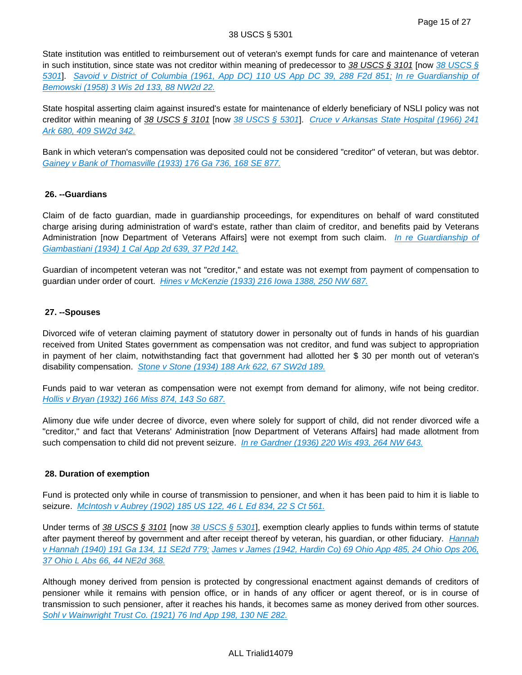#### 38 USCS § 5301

State institution was entitled to reimbursement out of veteran's exempt funds for care and maintenance of veteran in such institution, since state was not creditor within meaning of predecessor to  $38$  USCS § 3101 [now 38 USCS § [5301](http://advance.lexis.com/api/document?collection=statutes-legislation&id=urn:contentItem:4YF7-GR11-NRF4-4458-00000-00&context=)]. [Savoid v District of Columbia \(1961, App DC\) 110 US App DC 39, 288 F2d 851;](http://advance.lexis.com/api/document?collection=cases&id=urn:contentItem:3S4X-4WJ0-0039-Y0DN-00000-00&context=) [In re Guardianship of](http://advance.lexis.com/api/document?collection=cases&id=urn:contentItem:3RRN-0NW0-003V-H1YS-00000-00&context=)  [Bemowski \(1958\) 3 Wis 2d 133, 88 NW2d 22.](http://advance.lexis.com/api/document?collection=cases&id=urn:contentItem:3RRN-0NW0-003V-H1YS-00000-00&context=)

State hospital asserting claim against insured's estate for maintenance of elderly beneficiary of NSLI policy was not creditor within meaning of 38 USCS § 3101 [now [38 USCS § 5301](http://advance.lexis.com/api/document?collection=statutes-legislation&id=urn:contentItem:4YF7-GR11-NRF4-4458-00000-00&context=)]. Cruce v Arkansas State Hospital (1966) 241 [Ark 680, 409 SW2d 342.](http://advance.lexis.com/api/document?collection=cases&id=urn:contentItem:3RX3-YPK0-003C-13BK-00000-00&context=)

Bank in which veteran's compensation was deposited could not be considered "creditor" of veteran, but was debtor. [Gainey v Bank of Thomasville \(1933\) 176 Ga 736, 168 SE 877.](http://advance.lexis.com/api/document?collection=cases&id=urn:contentItem:3WS6-51P0-00KR-D4JD-00000-00&context=)

## **26. --Guardians**

Claim of de facto guardian, made in guardianship proceedings, for expenditures on behalf of ward constituted charge arising during administration of ward's estate, rather than claim of creditor, and benefits paid by Veterans Administration [now Department of Veterans Affairs] were not exempt from such claim. In re Guardianship of [Giambastiani \(1934\) 1 Cal App 2d 639, 37 P2d 142.](http://advance.lexis.com/api/document?collection=cases&id=urn:contentItem:3S1W-P4B0-003V-P3R6-00000-00&context=)

Guardian of incompetent veteran was not "creditor," and estate was not exempt from payment of compensation to guardian under order of court. [Hines v McKenzie \(1933\) 216 Iowa 1388, 250 NW 687.](http://advance.lexis.com/api/document?collection=cases&id=urn:contentItem:3YTG-WC80-00KR-F1TK-00000-00&context=)

## **27. --Spouses**

Divorced wife of veteran claiming payment of statutory dower in personalty out of funds in hands of his guardian received from United States government as compensation was not creditor, and fund was subject to appropriation in payment of her claim, notwithstanding fact that government had allotted her \$ 30 per month out of veteran's disability compensation. [Stone v Stone \(1934\) 188 Ark 622, 67 SW2d 189.](http://advance.lexis.com/api/document?collection=cases&id=urn:contentItem:3YX2-W8H0-00KR-D2RT-00000-00&context=)

Funds paid to war veteran as compensation were not exempt from demand for alimony, wife not being creditor. [Hollis v Bryan \(1932\) 166 Miss 874, 143 So 687.](http://advance.lexis.com/api/document?collection=cases&id=urn:contentItem:3YKK-J880-00KR-F2RT-00000-00&context=)

Alimony due wife under decree of divorce, even where solely for support of child, did not render divorced wife a "creditor," and fact that Veterans' Administration [now Department of Veterans Affairs] had made allotment from such compensation to child did not prevent seizure. [In re Gardner \(1936\) 220 Wis 493, 264 NW 643.](http://advance.lexis.com/api/document?collection=cases&id=urn:contentItem:3SVX-V2B0-0039-40NM-00000-00&context=)

## **28. Duration of exemption**

Fund is protected only while in course of transmission to pensioner, and when it has been paid to him it is liable to seizure. [McIntosh v Aubrey \(1902\) 185 US 122, 46 L Ed 834, 22 S Ct 561.](http://advance.lexis.com/api/document?collection=cases&id=urn:contentItem:3S4X-CF60-003B-H50X-00000-00&context=)

Under terms of 38 USCS § 3101 [now [38 USCS § 5301](http://advance.lexis.com/api/document?collection=statutes-legislation&id=urn:contentItem:4YF7-GR11-NRF4-4458-00000-00&context=)], exemption clearly applies to funds within terms of statute after payment thereof by government and after receipt thereof by veteran, his guardian, or other fiduciary. Hannah [v Hannah \(1940\) 191 Ga 134, 11 SE2d 779;](http://advance.lexis.com/api/document?collection=cases&id=urn:contentItem:3RRJ-8740-003V-M4Y4-00000-00&context=) [James v James \(1942, Hardin Co\) 69 Ohio App 485, 24 Ohio Ops 206,](http://advance.lexis.com/api/document?collection=cases&id=urn:contentItem:3RRM-XVP0-003C-64CK-00000-00&context=)  [37 Ohio L Abs 66, 44 NE2d 368.](http://advance.lexis.com/api/document?collection=cases&id=urn:contentItem:3RRM-XVP0-003C-64CK-00000-00&context=)

Although money derived from pension is protected by congressional enactment against demands of creditors of pensioner while it remains with pension office, or in hands of any officer or agent thereof, or is in course of transmission to such pensioner, after it reaches his hands, it becomes same as money derived from other sources. [Sohl v Wainwright Trust Co. \(1921\) 76 Ind App 198, 130 NE 282.](http://advance.lexis.com/api/document?collection=cases&id=urn:contentItem:3X3B-TX60-00KR-C2WW-00000-00&context=)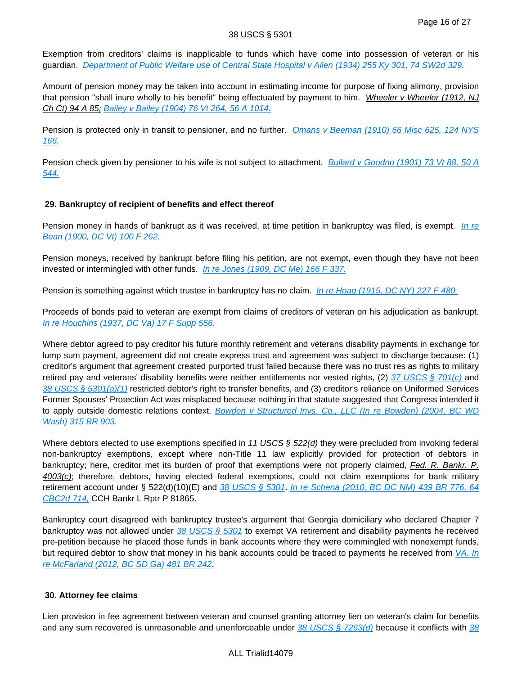Exemption from creditors' claims is inapplicable to funds which have come into possession of veteran or his guardian. [Department of Public Welfare use of Central State Hospital v Allen \(1934\) 255 Ky 301, 74 SW2d 329.](http://advance.lexis.com/api/document?collection=cases&id=urn:contentItem:3Y1C-HP20-00KR-D415-00000-00&context=)

Amount of pension money may be taken into account in estimating income for purpose of fixing alimony, provision that pension "shall inure wholly to his benefit" being effectuated by payment to him. Wheeler v Wheeler (1912, NJ Ch Ct) 94 A 85; [Bailey v Bailey \(1904\) 76 Vt 264, 56 A 1014.](http://advance.lexis.com/api/document?collection=cases&id=urn:contentItem:3SYX-S720-00GX-50GC-00000-00&context=)

Pension is protected only in transit to pensioner, and no further. Omans v Beeman (1910) 66 Misc 625, 124 NYS [166.](http://advance.lexis.com/api/document?collection=cases&id=urn:contentItem:3SR9-8CS0-0039-40KB-00000-00&context=)

Pension check given by pensioner to his wife is not subject to attachment. Bullard v Goodno (1901) 73 Vt 88, 50 A [544.](http://advance.lexis.com/api/document?collection=cases&id=urn:contentItem:3SYX-S7D0-00GX-50RP-00000-00&context=)

# **29. Bankruptcy of recipient of benefits and effect thereof**

Pension money in hands of bankrupt as it was received, at time petition in bankruptcy was filed, is exempt. In re [Bean \(1900, DC Vt\) 100 F 262.](http://advance.lexis.com/api/document?collection=cases&id=urn:contentItem:3S4V-K390-003B-M10S-00000-00&context=)

Pension moneys, received by bankrupt before filing his petition, are not exempt, even though they have not been invested or intermingled with other funds. [In re Jones \(1909, DC Me\) 166 F 337.](http://advance.lexis.com/api/document?collection=cases&id=urn:contentItem:3S4V-JF40-003B-M1KY-00000-00&context=)

Pension is something against which trustee in bankruptcy has no claim. [In re Hoag \(1915, DC NY\) 227 F 480.](http://advance.lexis.com/api/document?collection=cases&id=urn:contentItem:3S4V-RBB0-003B-W3BB-00000-00&context=)

Proceeds of bonds paid to veteran are exempt from claims of creditors of veteran on his adjudication as bankrupt. [In re Houchins \(1937, DC Va\) 17 F Supp 556.](http://advance.lexis.com/api/document?collection=cases&id=urn:contentItem:3S4V-KS30-003B-W4XY-00000-00&context=)

Where debtor agreed to pay creditor his future monthly retirement and veterans disability payments in exchange for lump sum payment, agreement did not create express trust and agreement was subject to discharge because: (1) creditor's argument that agreement created purported trust failed because there was no trust res as rights to military retired pay and veterans' disability benefits were neither entitlements nor vested rights, (2) 37 USCS  $\S$  701(c) and 38 USCS §  $5301(a)(1)$  restricted debtor's right to transfer benefits, and (3) creditor's reliance on Uniformed Services Former Spouses' Protection Act was misplaced because nothing in that statute suggested that Congress intended it to apply outside domestic relations context. Bowden v Structured Invs. Co., LLC (In re Bowden) (2004, BC WD [Wash\) 315 BR 903.](http://advance.lexis.com/api/document?collection=cases&id=urn:contentItem:4D8M-47Y0-0039-018H-00000-00&context=)

Where debtors elected to use exemptions specified in 11 USCS  $\S$  522(d) they were precluded from invoking federal non-bankruptcy exemptions, except where non-Title 11 law explicitly provided for protection of debtors in bankruptcy; here, creditor met its burden of proof that exemptions were not properly claimed, Fed. R. Bankr. P. 4003(c); therefore, debtors, having elected federal exemptions, could not claim exemptions for bank military retirement account under § 522(d)(10)(E) and [38 USCS § 5301](http://advance.lexis.com/api/document?collection=statutes-legislation&id=urn:contentItem:4YF7-GR11-NRF4-4458-00000-00&context=). In re Schena (2010, BC DC NM) 439 BR 776, 64 [CBC2d 714,](http://advance.lexis.com/api/document?collection=cases&id=urn:contentItem:519V-JT01-652F-8001-00000-00&context=) CCH Bankr L Rptr P 81865.

Bankruptcy court disagreed with bankruptcy trustee's argument that Georgia domiciliary who declared Chapter 7 bankruptcy was not allowed under 38 USCS  $\S$  5301 to exempt VA retirement and disability payments he received pre-petition because he placed those funds in bank accounts where they were commingled with nonexempt funds, but required debtor to show that money in his bank accounts could be traced to payments he received from VA. In [re McFarland \(2012, BC SD Ga\) 481 BR 242.](http://advance.lexis.com/api/document?collection=cases&id=urn:contentItem:56R0-RHV1-F049-1141-00000-00&context=)

## **30. Attorney fee claims**

Lien provision in fee agreement between veteran and counsel granting attorney lien on veteran's claim for benefits and any sum recovered is unreasonable and unenforceable under  $\frac{38 \text{ USCS }$  $\frac{38 \text{ USCS }$  $\frac{38 \text{ USCS }$   $\frac{57263}{d}$  because it conflicts with  $\frac{38}{60}$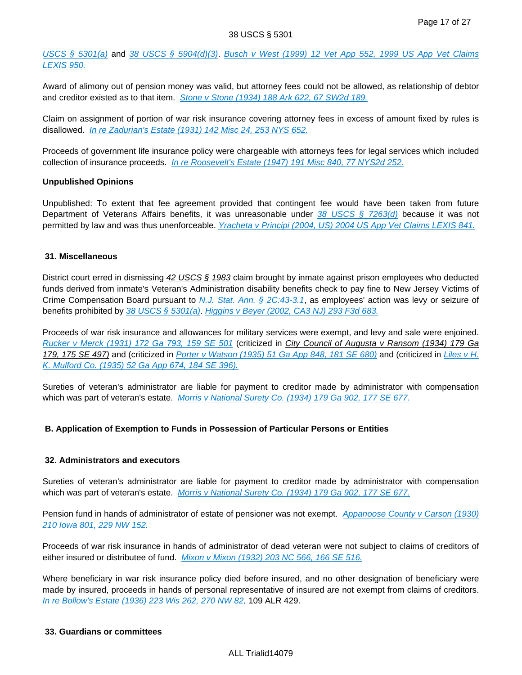[USCS § 5301\(a\)](http://advance.lexis.com/api/document?collection=statutes-legislation&id=urn:contentItem:4YF7-GR11-NRF4-4458-00000-00&context=) and [38 USCS § 5904\(d\)\(3\)](http://advance.lexis.com/api/document?collection=statutes-legislation&id=urn:contentItem:4YF7-GNK1-NRF4-403J-00000-00&context=). [Busch v West \(1999\) 12 Vet App 552, 1999 US App Vet Claims](http://advance.lexis.com/api/document?collection=cases&id=urn:contentItem:3XC5-J0S0-003N-50TP-00000-00&context=)  [LEXIS 950.](http://advance.lexis.com/api/document?collection=cases&id=urn:contentItem:3XC5-J0S0-003N-50TP-00000-00&context=)

Award of alimony out of pension money was valid, but attorney fees could not be allowed, as relationship of debtor and creditor existed as to that item. [Stone v Stone \(1934\) 188 Ark 622, 67 SW2d 189.](http://advance.lexis.com/api/document?collection=cases&id=urn:contentItem:3YX2-W8H0-00KR-D2RT-00000-00&context=)

Claim on assignment of portion of war risk insurance covering attorney fees in excess of amount fixed by rules is disallowed. [In re Zadurian's Estate \(1931\) 142 Misc 24, 253 NYS 652.](http://advance.lexis.com/api/document?collection=cases&id=urn:contentItem:3S3K-37S0-0044-F52H-00000-00&context=)

Proceeds of government life insurance policy were chargeable with attorneys fees for legal services which included collection of insurance proceeds. [In re Roosevelt's Estate \(1947\) 191 Misc 840, 77 NYS2d 252.](http://advance.lexis.com/api/document?collection=cases&id=urn:contentItem:3S3K-18D0-0044-F061-00000-00&context=)

## **Unpublished Opinions**

Unpublished: To extent that fee agreement provided that contingent fee would have been taken from future Department of Veterans Affairs benefits, it was unreasonable under [38 USCS § 7263\(d\)](http://advance.lexis.com/api/document?collection=statutes-legislation&id=urn:contentItem:4YF7-GMS1-NRF4-42G4-00000-00&context=) because it was not permitted by law and was thus unenforceable. [Yracheta v Principi \(2004, US\) 2004 US App Vet Claims LEXIS 841.](http://advance.lexis.com/api/document?collection=cases&id=urn:contentItem:4F5P-WW70-003N-50WB-00000-00&context=)

## **31. Miscellaneous**

District court erred in dismissing 42 USCS § 1983 claim brought by inmate against prison employees who deducted funds derived from inmate's Veteran's Administration disability benefits check to pay fine to New Jersey Victims of Crime Compensation Board pursuant to *[N.J. Stat. Ann. § 2C:43-3.1](http://advance.lexis.com/api/document?collection=statutes-legislation&id=urn:contentItem:5F0Y-BNR1-6F13-04TR-00000-00&context=)*, as employees' action was levy or seizure of benefits prohibited by  $38$  USCS  $\S$  5301(a). [Higgins v Beyer \(2002, CA3 NJ\) 293 F3d 683.](http://advance.lexis.com/api/document?collection=cases&id=urn:contentItem:4621-SK90-0038-X0BF-00000-00&context=)

Proceeds of war risk insurance and allowances for military services were exempt, and levy and sale were enjoined. [Rucker v Merck \(1931\) 172 Ga 793, 159 SE 501](http://advance.lexis.com/api/document?collection=cases&id=urn:contentItem:3WPP-GC60-00KR-D4B9-00000-00&context=) (criticized in City Council of Augusta v Ransom (1934) 179 Ga 179, 175 SE 497) and (criticized in [Porter v Watson \(1935\) 51 Ga App 848, 181 SE 680\)](http://advance.lexis.com/api/document?collection=cases&id=urn:contentItem:3WVH-V020-00KR-D13K-00000-00&context=) and (criticized in Liles v H. [K. Mulford Co. \(1935\) 52 Ga App 674, 184 SE 396\).](http://advance.lexis.com/api/document?collection=cases&id=urn:contentItem:3WV3-VX90-00KR-D071-00000-00&context=)

Sureties of veteran's administrator are liable for payment to creditor made by administrator with compensation which was part of veteran's estate. [Morris v National Surety Co. \(1934\) 179 Ga 902, 177 SE 677.](http://advance.lexis.com/api/document?collection=cases&id=urn:contentItem:3WRB-BV50-00KR-D291-00000-00&context=)

# **B. Application of Exemption to Funds in Possession of Particular Persons or Entities**

## **32. Administrators and executors**

Sureties of veteran's administrator are liable for payment to creditor made by administrator with compensation which was part of veteran's estate. [Morris v National Surety Co. \(1934\) 179 Ga 902, 177 SE 677.](http://advance.lexis.com/api/document?collection=cases&id=urn:contentItem:3WRB-BV50-00KR-D291-00000-00&context=)

Pension fund in hands of administrator of estate of pensioner was not exempt. Appanoose County v Carson (1930) [210 Iowa 801, 229 NW 152.](http://advance.lexis.com/api/document?collection=cases&id=urn:contentItem:3YTP-RN60-00KR-F1VY-00000-00&context=)

Proceeds of war risk insurance in hands of administrator of dead veteran were not subject to claims of creditors of either insured or distributee of fund. [Mixon v Mixon \(1932\) 203 NC 566, 166 SE 516.](http://advance.lexis.com/api/document?collection=cases&id=urn:contentItem:3XP0-6TF0-00KR-F26M-00000-00&context=)

Where beneficiary in war risk insurance policy died before insured, and no other designation of beneficiary were made by insured, proceeds in hands of personal representative of insured are not exempt from claims of creditors. [In re Bollow's Estate \(1936\) 223 Wis 262, 270 NW 82,](http://advance.lexis.com/api/document?collection=cases&id=urn:contentItem:3SVX-V2Y0-0039-411D-00000-00&context=) 109 ALR 429.

## **33. Guardians or committees**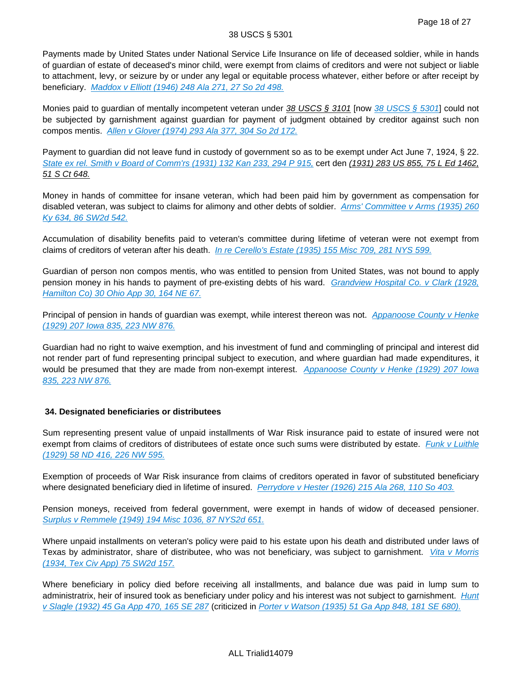Payments made by United States under National Service Life Insurance on life of deceased soldier, while in hands of guardian of estate of deceased's minor child, were exempt from claims of creditors and were not subject or liable to attachment, levy, or seizure by or under any legal or equitable process whatever, either before or after receipt by beneficiary. [Maddox v Elliott \(1946\) 248 Ala 271, 27 So 2d 498.](http://advance.lexis.com/api/document?collection=cases&id=urn:contentItem:40PH-D0N0-0046-813R-00000-00&context=)

Monies paid to guardian of mentally incompetent veteran under 38 USCS § 3101 [now [38 USCS § 5301](http://advance.lexis.com/api/document?collection=statutes-legislation&id=urn:contentItem:4YF7-GR11-NRF4-4458-00000-00&context=)] could not be subjected by garnishment against guardian for payment of judgment obtained by creditor against such non compos mentis. [Allen v Glover \(1974\) 293 Ala 377, 304 So 2d 172.](http://advance.lexis.com/api/document?collection=cases&id=urn:contentItem:3RX4-1P20-003C-91TW-00000-00&context=)

Payment to guardian did not leave fund in custody of government so as to be exempt under Act June 7, 1924, § 22. [State ex rel. Smith v Board of Comm'rs \(1931\) 132 Kan 233, 294 P 915,](http://advance.lexis.com/api/document?collection=cases&id=urn:contentItem:3WY4-00C0-00KR-D2JS-00000-00&context=) cert den (1931) 283 US 855, 75 L Ed 1462, 51 S Ct 648.

Money in hands of committee for insane veteran, which had been paid him by government as compensation for disabled veteran, was subject to claims for alimony and other debts of soldier. Arms' Committee v Arms (1935) 260 [Ky 634, 86 SW2d 542.](http://advance.lexis.com/api/document?collection=cases&id=urn:contentItem:3Y2D-K8J0-00KR-D0K4-00000-00&context=)

Accumulation of disability benefits paid to veteran's committee during lifetime of veteran were not exempt from claims of creditors of veteran after his death. [In re Cerello's Estate \(1935\) 155 Misc 709, 281 NYS 599.](http://advance.lexis.com/api/document?collection=cases&id=urn:contentItem:3S3K-2TX0-0044-F0FY-00000-00&context=)

Guardian of person non compos mentis, who was entitled to pension from United States, was not bound to apply pension money in his hands to payment of pre-existing debts of his ward. Grandview Hospital Co. v Clark (1928, [Hamilton Co\) 30 Ohio App 30, 164 NE 67.](http://advance.lexis.com/api/document?collection=cases&id=urn:contentItem:3RRM-WW60-003C-73CN-00000-00&context=)

Principal of pension in hands of guardian was exempt, while interest thereon was not. Appanoose County v Henke [\(1929\) 207 Iowa 835, 223 NW 876.](http://advance.lexis.com/api/document?collection=cases&id=urn:contentItem:3YTP-R9K0-00KR-F1CF-00000-00&context=)

Guardian had no right to waive exemption, and his investment of fund and commingling of principal and interest did not render part of fund representing principal subject to execution, and where guardian had made expenditures, it would be presumed that they are made from non-exempt interest. Appanoose County v Henke (1929) 207 Iowa [835, 223 NW 876.](http://advance.lexis.com/api/document?collection=cases&id=urn:contentItem:3YTP-R9K0-00KR-F1CF-00000-00&context=)

## **34. Designated beneficiaries or distributees**

Sum representing present value of unpaid installments of War Risk insurance paid to estate of insured were not exempt from claims of creditors of distributees of estate once such sums were distributed by estate. Funk v Luithle [\(1929\) 58 ND 416, 226 NW 595.](http://advance.lexis.com/api/document?collection=cases&id=urn:contentItem:3RKP-1CT0-000K-20V2-00000-00&context=)

Exemption of proceeds of War Risk insurance from claims of creditors operated in favor of substituted beneficiary where designated beneficiary died in lifetime of insured. [Perrydore v Hester \(1926\) 215 Ala 268, 110 So 403.](http://advance.lexis.com/api/document?collection=cases&id=urn:contentItem:3YCT-CWX0-0046-83BB-00000-00&context=)

Pension moneys, received from federal government, were exempt in hands of widow of deceased pensioner. [Surplus v Remmele \(1949\) 194 Misc 1036, 87 NYS2d 651.](http://advance.lexis.com/api/document?collection=cases&id=urn:contentItem:3S3K-1260-0044-F225-00000-00&context=)

Where unpaid installments on veteran's policy were paid to his estate upon his death and distributed under laws of Texas by administrator, share of distributee, who was not beneficiary, was subject to garnishment. *Vita v Morris* [\(1934, Tex Civ App\) 75 SW2d 157.](http://advance.lexis.com/api/document?collection=cases&id=urn:contentItem:3VNR-MS60-0039-4047-00000-00&context=)

Where beneficiary in policy died before receiving all installments, and balance due was paid in lump sum to administratrix, heir of insured took as beneficiary under policy and his interest was not subject to garnishment. Hunt [v Slagle \(1932\) 45 Ga App 470, 165 SE 287](http://advance.lexis.com/api/document?collection=cases&id=urn:contentItem:3WV3-4BB0-00KR-D2BT-00000-00&context=) (criticized in [Porter v Watson \(1935\) 51 Ga App 848, 181 SE 680\).](http://advance.lexis.com/api/document?collection=cases&id=urn:contentItem:3WVH-V020-00KR-D13K-00000-00&context=)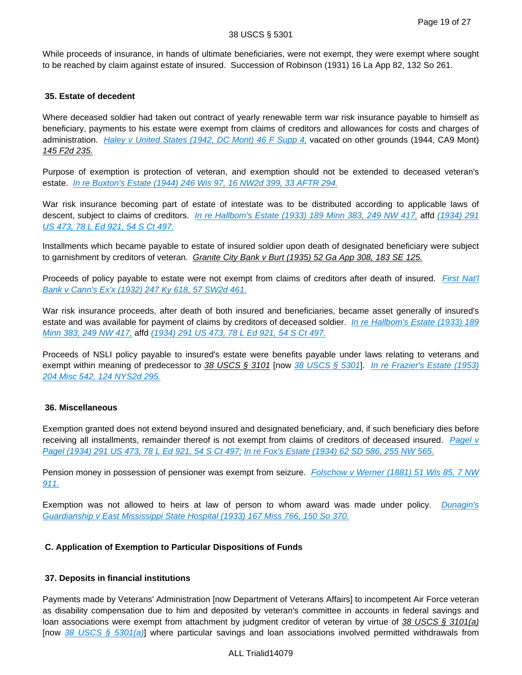While proceeds of insurance, in hands of ultimate beneficiaries, were not exempt, they were exempt where sought to be reached by claim against estate of insured. Succession of Robinson (1931) 16 La App 82, 132 So 261.

## **35. Estate of decedent**

Where deceased soldier had taken out contract of yearly renewable term war risk insurance payable to himself as beneficiary, payments to his estate were exempt from claims of creditors and allowances for costs and charges of administration. Haley v United States (1942, DC Mont) 46 F Supp  $4$ , vacated on other grounds (1944, CA9 Mont) 145 F2d 235.

Purpose of exemption is protection of veteran, and exemption should not be extended to deceased veteran's estate. [In re Buxton's Estate \(1944\) 246 Wis 97, 16 NW2d 399, 33 AFTR 294.](http://advance.lexis.com/api/document?collection=cases&id=urn:contentItem:3RRR-2WJ0-003V-H0MP-00000-00&context=)

War risk insurance becoming part of estate of intestate was to be distributed according to applicable laws of descent, subject to claims of creditors. [In re Hallbom's Estate \(1933\) 189 Minn 383, 249 NW 417,](http://advance.lexis.com/api/document?collection=cases&id=urn:contentItem:3RRM-5R60-003G-V38G-00000-00&context=) affd (1934) 291 [US 473, 78 L Ed 921, 54 S Ct 497.](http://advance.lexis.com/api/document?collection=cases&id=urn:contentItem:3S4X-C700-003B-717P-00000-00&context=)

Installments which became payable to estate of insured soldier upon death of designated beneficiary were subject to garnishment by creditors of veteran. Granite City Bank v Burt (1935) 52 Ga App 308, 183 SE 125.

Proceeds of policy payable to estate were not exempt from claims of creditors after death of insured. First Nat'l [Bank v Cann's Ex'x \(1932\) 247 Ky 618, 57 SW2d 461.](http://advance.lexis.com/api/document?collection=cases&id=urn:contentItem:3Y4B-9210-00KR-D0D9-00000-00&context=)

War risk insurance proceeds, after death of both insured and beneficiaries, became asset generally of insured's estate and was available for payment of claims by creditors of deceased soldier. *In re Hallbom's Estate (1933) 189* [Minn 383, 249 NW 417,](http://advance.lexis.com/api/document?collection=cases&id=urn:contentItem:3RRM-5R60-003G-V38G-00000-00&context=) affd [\(1934\) 291 US 473, 78 L Ed 921, 54 S Ct 497.](http://advance.lexis.com/api/document?collection=cases&id=urn:contentItem:3S4X-C700-003B-717P-00000-00&context=)

Proceeds of NSLI policy payable to insured's estate were benefits payable under laws relating to veterans and exempt within meaning of predecessor to 38 USCS § 3101 [now [38 USCS § 5301](http://advance.lexis.com/api/document?collection=statutes-legislation&id=urn:contentItem:4YF7-GR11-NRF4-4458-00000-00&context=)]. In re Frazier's Estate (1953) [204 Misc 542, 124 NYS2d 295.](http://advance.lexis.com/api/document?collection=cases&id=urn:contentItem:3S3K-0F90-0044-F50M-00000-00&context=)

## **36. Miscellaneous**

Exemption granted does not extend beyond insured and designated beneficiary, and, if such beneficiary dies before receiving all installments, remainder thereof is not exempt from claims of creditors of deceased insured. Pagel v [Pagel \(1934\) 291 US 473, 78 L Ed 921, 54 S Ct 497;](http://advance.lexis.com/api/document?collection=cases&id=urn:contentItem:3S4X-C700-003B-717P-00000-00&context=) [In re Fox's Estate \(1934\) 62 SD 586, 255 NW 565.](http://advance.lexis.com/api/document?collection=cases&id=urn:contentItem:401R-5FJ0-00KR-C39G-00000-00&context=)

Pension money in possession of pensioner was exempt from seizure. Folschow v Werner (1881) 51 Wis 85, 7 NW [911.](http://advance.lexis.com/api/document?collection=cases&id=urn:contentItem:3Y0H-4PN0-00KR-C3PV-00000-00&context=)

Exemption was not allowed to heirs at law of person to whom award was made under policy. Dunagin's [Guardianship v East Mississippi State Hospital \(1933\) 167 Miss 766, 150 So 370.](http://advance.lexis.com/api/document?collection=cases&id=urn:contentItem:3YKJ-K7V0-00KR-F3R4-00000-00&context=)

# **C. Application of Exemption to Particular Dispositions of Funds**

# **37. Deposits in financial institutions**

Payments made by Veterans' Administration [now Department of Veterans Affairs] to incompetent Air Force veteran as disability compensation due to him and deposited by veteran's committee in accounts in federal savings and loan associations were exempt from attachment by judgment creditor of veteran by virtue of 38 USCS § 3101(a) [now  $38$  USCS § 5301(a)] where particular savings and loan associations involved permitted withdrawals from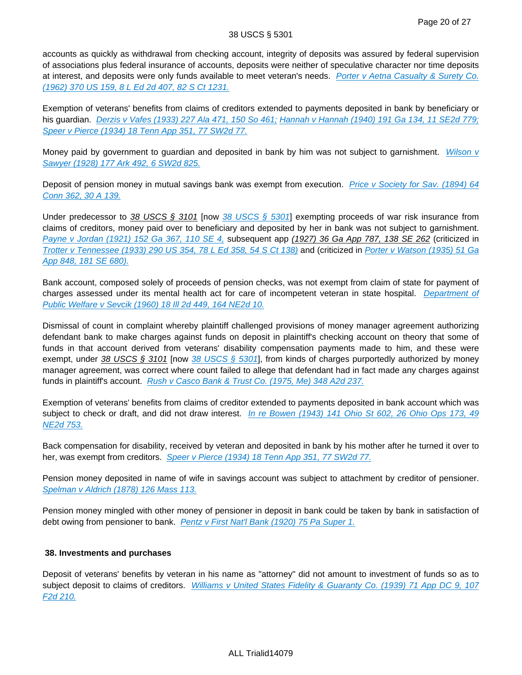accounts as quickly as withdrawal from checking account, integrity of deposits was assured by federal supervision of associations plus federal insurance of accounts, deposits were neither of speculative character nor time deposits at interest, and deposits were only funds available to meet veteran's needs. Porter v Aetna Casualty & Surety Co. [\(1962\) 370 US 159, 8 L Ed 2d 407, 82 S Ct 1231.](http://advance.lexis.com/api/document?collection=cases&id=urn:contentItem:3S4X-H8H0-003B-S04D-00000-00&context=)

Exemption of veterans' benefits from claims of creditors extended to payments deposited in bank by beneficiary or his guardian. [Derzis v Vafes \(1933\) 227 Ala 471, 150 So 461;](http://advance.lexis.com/api/document?collection=cases&id=urn:contentItem:3YC6-5YF0-0046-84N1-00000-00&context=) [Hannah v Hannah \(1940\) 191 Ga 134, 11 SE2d 779;](http://advance.lexis.com/api/document?collection=cases&id=urn:contentItem:3RRJ-8740-003V-M4Y4-00000-00&context=) [Speer v Pierce \(1934\) 18 Tenn App 351, 77 SW2d 77.](http://advance.lexis.com/api/document?collection=cases&id=urn:contentItem:3YKT-BRD0-00KR-D0WJ-00000-00&context=)

Money paid by government to guardian and deposited in bank by him was not subject to garnishment. Wilson v [Sawyer \(1928\) 177 Ark 492, 6 SW2d 825.](http://advance.lexis.com/api/document?collection=cases&id=urn:contentItem:3YW7-XMM0-00KR-D2BJ-00000-00&context=)

Deposit of pension money in mutual savings bank was exempt from execution. Price v Society for Sav. (1894) 64 [Conn 362, 30 A 139.](http://advance.lexis.com/api/document?collection=cases&id=urn:contentItem:3WM9-G8W0-00KR-C1MM-00000-00&context=)

Under predecessor to 38 USCS § 3101 [now [38 USCS § 5301](http://advance.lexis.com/api/document?collection=statutes-legislation&id=urn:contentItem:4YF7-GR11-NRF4-4458-00000-00&context=)] exempting proceeds of war risk insurance from claims of creditors, money paid over to beneficiary and deposited by her in bank was not subject to garnishment. [Payne v Jordan \(1921\) 152 Ga 367, 110 SE 4,](http://advance.lexis.com/api/document?collection=cases&id=urn:contentItem:3WNM-XJJ0-00KR-D027-00000-00&context=) subsequent app (1927) 36 Ga App 787, 138 SE 262 (criticized in [Trotter v Tennessee \(1933\) 290 US 354, 78 L Ed 358, 54 S Ct 138\)](http://advance.lexis.com/api/document?collection=cases&id=urn:contentItem:3S4X-CB70-003B-71KX-00000-00&context=) and (criticized in [Porter v Watson \(1935\) 51 Ga](http://advance.lexis.com/api/document?collection=cases&id=urn:contentItem:3WVH-V020-00KR-D13K-00000-00&context=)  [App 848, 181 SE 680\).](http://advance.lexis.com/api/document?collection=cases&id=urn:contentItem:3WVH-V020-00KR-D13K-00000-00&context=)

Bank account, composed solely of proceeds of pension checks, was not exempt from claim of state for payment of charges assessed under its mental health act for care of incompetent veteran in state hospital. Department of [Public Welfare v Sevcik \(1960\) 18 Ill 2d 449, 164 NE2d 10.](http://advance.lexis.com/api/document?collection=cases&id=urn:contentItem:3RRM-2YN0-003C-44W1-00000-00&context=)

Dismissal of count in complaint whereby plaintiff challenged provisions of money manager agreement authorizing defendant bank to make charges against funds on deposit in plaintiff's checking account on theory that some of funds in that account derived from veterans' disability compensation payments made to him, and these were exempt, under 38 USCS § 3101 [now [38 USCS § 5301](http://advance.lexis.com/api/document?collection=statutes-legislation&id=urn:contentItem:4YF7-GR11-NRF4-4458-00000-00&context=)], from kinds of charges purportedly authorized by money manager agreement, was correct where count failed to allege that defendant had in fact made any charges against funds in plaintiff's account. [Rush v Casco Bank & Trust Co. \(1975, Me\) 348 A2d 237.](http://advance.lexis.com/api/document?collection=cases&id=urn:contentItem:3RX4-6050-003F-N2PG-00000-00&context=)

Exemption of veterans' benefits from claims of creditor extended to payments deposited in bank account which was subject to check or draft, and did not draw interest. In re Bowen (1943) 141 Ohio St 602, 26 Ohio Ops 173, 49 [NE2d 753.](http://advance.lexis.com/api/document?collection=cases&id=urn:contentItem:3RRM-V2S0-003C-626X-00000-00&context=)

Back compensation for disability, received by veteran and deposited in bank by his mother after he turned it over to her, was exempt from creditors. [Speer v Pierce \(1934\) 18 Tenn App 351, 77 SW2d 77.](http://advance.lexis.com/api/document?collection=cases&id=urn:contentItem:3YKT-BRD0-00KR-D0WJ-00000-00&context=)

Pension money deposited in name of wife in savings account was subject to attachment by creditor of pensioner. [Spelman v Aldrich \(1878\) 126 Mass 113.](http://advance.lexis.com/api/document?collection=cases&id=urn:contentItem:3WGR-2820-00KR-F2Y9-00000-00&context=)

Pension money mingled with other money of pensioner in deposit in bank could be taken by bank in satisfaction of debt owing from pensioner to bank. [Pentz v First Nat'l Bank \(1920\) 75 Pa Super 1.](http://advance.lexis.com/api/document?collection=cases&id=urn:contentItem:3W7F-V400-00KR-F412-00000-00&context=)

# **38. Investments and purchases**

Deposit of veterans' benefits by veteran in his name as "attorney" did not amount to investment of funds so as to subject deposit to claims of creditors. Williams v United States Fidelity & Guaranty Co. (1939) 71 App DC 9, 107 [F2d 210.](http://advance.lexis.com/api/document?collection=cases&id=urn:contentItem:3S4W-SF60-003B-K109-00000-00&context=)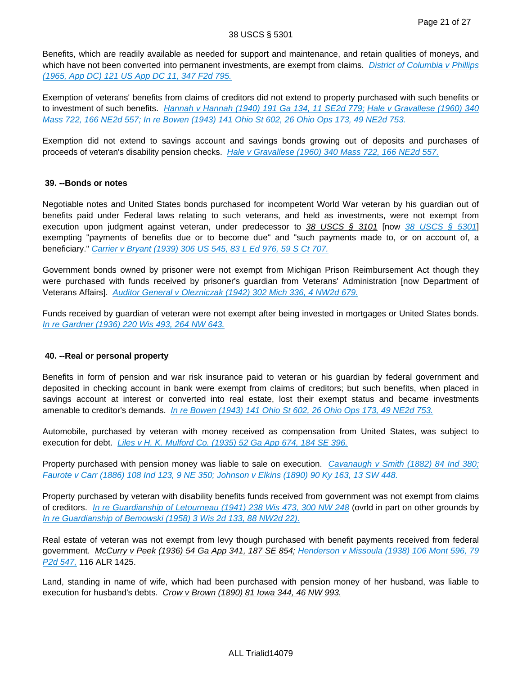Benefits, which are readily available as needed for support and maintenance, and retain qualities of moneys, and which have not been converted into permanent investments, are exempt from claims. District of Columbia v Phillips [\(1965, App DC\) 121 US App DC 11, 347 F2d 795.](http://advance.lexis.com/api/document?collection=cases&id=urn:contentItem:3S4X-0M40-0039-Y3Y2-00000-00&context=)

Exemption of veterans' benefits from claims of creditors did not extend to property purchased with such benefits or to investment of such benefits. [Hannah v Hannah \(1940\) 191 Ga 134, 11 SE2d 779;](http://advance.lexis.com/api/document?collection=cases&id=urn:contentItem:3RRJ-8740-003V-M4Y4-00000-00&context=) Hale v Gravallese (1960) 340 [Mass 722, 166 NE2d 557;](http://advance.lexis.com/api/document?collection=cases&id=urn:contentItem:3RRJ-9410-003C-T222-00000-00&context=) [In re Bowen \(1943\) 141 Ohio St 602, 26 Ohio Ops 173, 49 NE2d 753.](http://advance.lexis.com/api/document?collection=cases&id=urn:contentItem:3RRM-V2S0-003C-626X-00000-00&context=)

Exemption did not extend to savings account and savings bonds growing out of deposits and purchases of proceeds of veteran's disability pension checks. [Hale v Gravallese \(1960\) 340 Mass 722, 166 NE2d 557.](http://advance.lexis.com/api/document?collection=cases&id=urn:contentItem:3RRJ-9410-003C-T222-00000-00&context=)

## **39. --Bonds or notes**

Negotiable notes and United States bonds purchased for incompetent World War veteran by his guardian out of benefits paid under Federal laws relating to such veterans, and held as investments, were not exempt from execution upon judgment against veteran, under predecessor to 38 USCS § 3101 [now [38 USCS § 5301](http://advance.lexis.com/api/document?collection=statutes-legislation&id=urn:contentItem:4YF7-GR11-NRF4-4458-00000-00&context=)] exempting "payments of benefits due or to become due" and "such payments made to, or on account of, a beneficiary." [Carrier v Bryant \(1939\) 306 US 545, 83 L Ed 976, 59 S Ct 707.](http://advance.lexis.com/api/document?collection=cases&id=urn:contentItem:3S4X-7WS0-003B-742P-00000-00&context=)

Government bonds owned by prisoner were not exempt from Michigan Prison Reimbursement Act though they were purchased with funds received by prisoner's guardian from Veterans' Administration [now Department of Veterans Affairs]. [Auditor General v Olezniczak \(1942\) 302 Mich 336, 4 NW2d 679.](http://advance.lexis.com/api/document?collection=cases&id=urn:contentItem:3RRM-WP90-003D-10T8-00000-00&context=)

Funds received by guardian of veteran were not exempt after being invested in mortgages or United States bonds. [In re Gardner \(1936\) 220 Wis 493, 264 NW 643.](http://advance.lexis.com/api/document?collection=cases&id=urn:contentItem:3SVX-V2B0-0039-40NM-00000-00&context=)

## **40. --Real or personal property**

Benefits in form of pension and war risk insurance paid to veteran or his guardian by federal government and deposited in checking account in bank were exempt from claims of creditors; but such benefits, when placed in savings account at interest or converted into real estate, lost their exempt status and became investments amenable to creditor's demands. [In re Bowen \(1943\) 141 Ohio St 602, 26 Ohio Ops 173, 49 NE2d 753.](http://advance.lexis.com/api/document?collection=cases&id=urn:contentItem:3RRM-V2S0-003C-626X-00000-00&context=)

Automobile, purchased by veteran with money received as compensation from United States, was subject to execution for debt. [Liles v H. K. Mulford Co. \(1935\) 52 Ga App 674, 184 SE 396.](http://advance.lexis.com/api/document?collection=cases&id=urn:contentItem:3WV3-VX90-00KR-D071-00000-00&context=)

Property purchased with pension money was liable to sale on execution. [Cavanaugh v Smith \(1882\) 84 Ind 380;](http://advance.lexis.com/api/document?collection=cases&id=urn:contentItem:3WPX-3XN0-00KR-C396-00000-00&context=) [Faurote v Carr \(1886\) 108 Ind 123, 9 NE 350;](http://advance.lexis.com/api/document?collection=cases&id=urn:contentItem:3W6B-YWH0-00KR-F110-00000-00&context=) [Johnson v Elkins \(1890\) 90 Ky 163, 13 SW 448.](http://advance.lexis.com/api/document?collection=cases&id=urn:contentItem:3Y1C-BFC0-00KR-D1B1-00000-00&context=)

Property purchased by veteran with disability benefits funds received from government was not exempt from claims of creditors. [In re Guardianship of Letourneau \(1941\) 238 Wis 473, 300 NW 248](http://advance.lexis.com/api/document?collection=cases&id=urn:contentItem:3SCG-M6M0-0039-44GS-00000-00&context=) (ovrld in part on other grounds by [In re Guardianship of Bemowski \(1958\) 3 Wis 2d 133, 88 NW2d 22\).](http://advance.lexis.com/api/document?collection=cases&id=urn:contentItem:3RRN-0NW0-003V-H1YS-00000-00&context=)

Real estate of veteran was not exempt from levy though purchased with benefit payments received from federal government. McCurry v Peek (1936) 54 Ga App 341, 187 SE 854; [Henderson v Missoula \(1938\) 106 Mont 596, 79](http://advance.lexis.com/api/document?collection=cases&id=urn:contentItem:402K-0TM0-00KR-F1W9-00000-00&context=)  P<sub>2</sub>d 547, 116 ALR 1425.

Land, standing in name of wife, which had been purchased with pension money of her husband, was liable to execution for husband's debts. Crow v Brown (1890) 81 Iowa 344, 46 NW 993.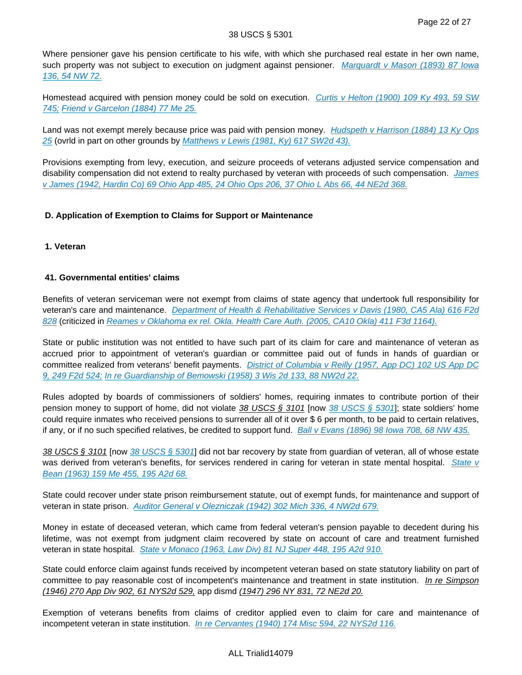Where pensioner gave his pension certificate to his wife, with which she purchased real estate in her own name, such property was not subject to execution on judgment against pensioner. Marquardt v Mason (1893) 87 Iowa [136, 54 NW 72.](http://advance.lexis.com/api/document?collection=cases&id=urn:contentItem:3YPS-VTR0-00KR-F524-00000-00&context=)

Homestead acquired with pension money could be sold on execution. Curtis v Helton (1900) 109 Ky 493, 59 SW [745;](http://advance.lexis.com/api/document?collection=cases&id=urn:contentItem:3Y2N-NMF0-00KR-D1HN-00000-00&context=) [Friend v Garcelon \(1884\) 77 Me 25.](http://advance.lexis.com/api/document?collection=cases&id=urn:contentItem:3YMW-8XR0-00KR-C2F3-00000-00&context=)

Land was not exempt merely because price was paid with pension money. Hudspeth v Harrison (1884) 13 Ky Ops [25](http://advance.lexis.com/api/document?collection=cases&id=urn:contentItem:45F5-NBT0-003F-P07K-00000-00&context=) (ovrld in part on other grounds by [Matthews v Lewis \(1981, Ky\) 617 SW2d 43\).](http://advance.lexis.com/api/document?collection=cases&id=urn:contentItem:3RX8-CC50-003F-P2KW-00000-00&context=)

Provisions exempting from levy, execution, and seizure proceeds of veterans adjusted service compensation and disability compensation did not extend to realty purchased by veteran with proceeds of such compensation. James [v James \(1942, Hardin Co\) 69 Ohio App 485, 24 Ohio Ops 206, 37 Ohio L Abs 66, 44 NE2d 368.](http://advance.lexis.com/api/document?collection=cases&id=urn:contentItem:3RRM-XVP0-003C-64CK-00000-00&context=)

# **D. Application of Exemption to Claims for Support or Maintenance**

**1. Veteran**

# **41. Governmental entities' claims**

Benefits of veteran serviceman were not exempt from claims of state agency that undertook full responsibility for veteran's care and maintenance. [Department of Health & Rehabilitative Services v Davis \(1980, CA5 Ala\) 616 F2d](http://advance.lexis.com/api/document?collection=cases&id=urn:contentItem:3S4X-F7N0-0039-W18M-00000-00&context=)  [828](http://advance.lexis.com/api/document?collection=cases&id=urn:contentItem:3S4X-F7N0-0039-W18M-00000-00&context=) (criticized in [Reames v Oklahoma ex rel. Okla. Health Care Auth. \(2005, CA10 Okla\) 411 F3d 1164\).](http://advance.lexis.com/api/document?collection=cases&id=urn:contentItem:4GD5-S740-0038-X2N5-00000-00&context=)

State or public institution was not entitled to have such part of its claim for care and maintenance of veteran as accrued prior to appointment of veteran's guardian or committee paid out of funds in hands of guardian or committee realized from veterans' benefit payments. District of Columbia v Reilly (1957, App DC) 102 US App DC [9, 249 F2d 524;](http://advance.lexis.com/api/document?collection=cases&id=urn:contentItem:3S4W-TY20-003B-0349-00000-00&context=) [In re Guardianship of Bemowski \(1958\) 3 Wis 2d 133, 88 NW2d 22.](http://advance.lexis.com/api/document?collection=cases&id=urn:contentItem:3RRN-0NW0-003V-H1YS-00000-00&context=)

Rules adopted by boards of commissioners of soldiers' homes, requiring inmates to contribute portion of their pension money to support of home, did not violate 38 USCS § 3101 [now [38 USCS § 5301](http://advance.lexis.com/api/document?collection=statutes-legislation&id=urn:contentItem:4YF7-GR11-NRF4-4458-00000-00&context=)]; state soldiers' home could require inmates who received pensions to surrender all of it over \$ 6 per month, to be paid to certain relatives, if any, or if no such specified relatives, be credited to support fund. [Ball v Evans \(1896\) 98 Iowa 708, 68 NW 435.](http://advance.lexis.com/api/document?collection=cases&id=urn:contentItem:3YPS-VFK0-00KR-F3XG-00000-00&context=)

38 USCS § 3101 [now [38 USCS § 5301](http://advance.lexis.com/api/document?collection=statutes-legislation&id=urn:contentItem:4YF7-GR11-NRF4-4458-00000-00&context=)] did not bar recovery by state from quardian of veteran, all of whose estate was derived from veteran's benefits, for services rendered in caring for veteran in state mental hospital. State v [Bean \(1963\) 159 Me 455, 195 A2d 68.](http://advance.lexis.com/api/document?collection=cases&id=urn:contentItem:3YPB-TNY0-00KR-C547-00000-00&context=)

State could recover under state prison reimbursement statute, out of exempt funds, for maintenance and support of veteran in state prison. [Auditor General v Olezniczak \(1942\) 302 Mich 336, 4 NW2d 679.](http://advance.lexis.com/api/document?collection=cases&id=urn:contentItem:3RRM-WP90-003D-10T8-00000-00&context=)

Money in estate of deceased veteran, which came from federal veteran's pension payable to decedent during his lifetime, was not exempt from judgment claim recovered by state on account of care and treatment furnished veteran in state hospital. [State v Monaco \(1963, Law Div\) 81 NJ Super 448, 195 A2d 910.](http://advance.lexis.com/api/document?collection=cases&id=urn:contentItem:3RRH-RV60-003D-S09M-00000-00&context=)

State could enforce claim against funds received by incompetent veteran based on state statutory liability on part of committee to pay reasonable cost of incompetent's maintenance and treatment in state institution. In re Simpson (1946) 270 App Div 902, 61 NYS2d 529, app dismd (1947) 296 NY 831, 72 NE2d 20.

Exemption of veterans benefits from claims of creditor applied even to claim for care and maintenance of incompetent veteran in state institution. [In re Cervantes \(1940\) 174 Misc 594, 22 NYS2d 116.](http://advance.lexis.com/api/document?collection=cases&id=urn:contentItem:3S3K-2730-0044-F3P9-00000-00&context=)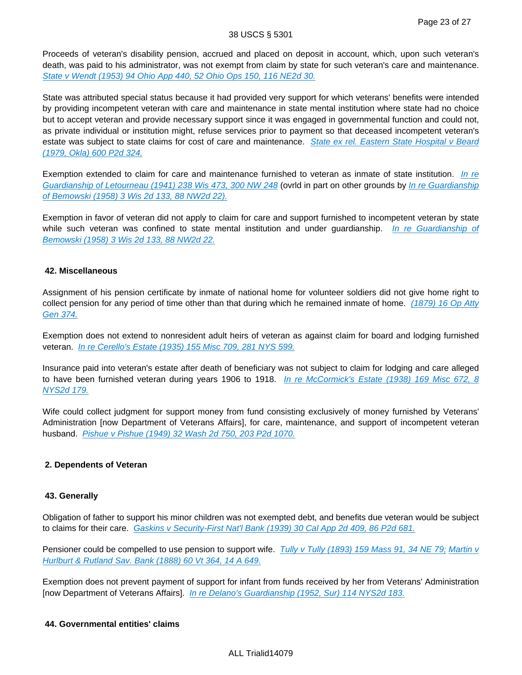Proceeds of veteran's disability pension, accrued and placed on deposit in account, which, upon such veteran's death, was paid to his administrator, was not exempt from claim by state for such veteran's care and maintenance. [State v Wendt \(1953\) 94 Ohio App 440, 52 Ohio Ops 150, 116 NE2d 30.](http://advance.lexis.com/api/document?collection=cases&id=urn:contentItem:3RRM-WR00-003C-64VR-00000-00&context=)

State was attributed special status because it had provided very support for which veterans' benefits were intended by providing incompetent veteran with care and maintenance in state mental institution where state had no choice but to accept veteran and provide necessary support since it was engaged in governmental function and could not, as private individual or institution might, refuse services prior to payment so that deceased incompetent veteran's estate was subject to state claims for cost of care and maintenance. State ex rel. Eastern State Hospital v Beard [\(1979, Okla\) 600 P2d 324.](http://advance.lexis.com/api/document?collection=cases&id=urn:contentItem:3RVB-WS10-003G-63CM-00000-00&context=)

Exemption extended to claim for care and maintenance furnished to veteran as inmate of state institution. In re [Guardianship of Letourneau \(1941\) 238 Wis 473, 300 NW 248](http://advance.lexis.com/api/document?collection=cases&id=urn:contentItem:3SCG-M6M0-0039-44GS-00000-00&context=) (ovrld in part on other grounds by In re Guardianship [of Bemowski \(1958\) 3 Wis 2d 133, 88 NW2d 22\).](http://advance.lexis.com/api/document?collection=cases&id=urn:contentItem:3RRN-0NW0-003V-H1YS-00000-00&context=)

Exemption in favor of veteran did not apply to claim for care and support furnished to incompetent veteran by state while such veteran was confined to state mental institution and under guardianship. In re Guardianship of [Bemowski \(1958\) 3 Wis 2d 133, 88 NW2d 22.](http://advance.lexis.com/api/document?collection=cases&id=urn:contentItem:3RRN-0NW0-003V-H1YS-00000-00&context=)

## **42. Miscellaneous**

Assignment of his pension certificate by inmate of national home for volunteer soldiers did not give home right to collect pension for any period of time other than that during which he remained inmate of home. (1879) 16 Op Atty [Gen 374.](http://advance.lexis.com/api/document?collection=administrative-materials&id=urn:contentItem:3RHK-GYG0-002F-V47C-00000-00&context=)

Exemption does not extend to nonresident adult heirs of veteran as against claim for board and lodging furnished veteran. [In re Cerello's Estate \(1935\) 155 Misc 709, 281 NYS 599.](http://advance.lexis.com/api/document?collection=cases&id=urn:contentItem:3S3K-2TX0-0044-F0FY-00000-00&context=)

Insurance paid into veteran's estate after death of beneficiary was not subject to claim for lodging and care alleged to have been furnished veteran during years 1906 to 1918. *In re McCormick's Estate (1938) 169 Misc 672, 8* [NYS2d 179.](http://advance.lexis.com/api/document?collection=cases&id=urn:contentItem:3S3K-2F30-0044-F1B5-00000-00&context=)

Wife could collect judgment for support money from fund consisting exclusively of money furnished by Veterans' Administration [now Department of Veterans Affairs], for care, maintenance, and support of incompetent veteran husband. [Pishue v Pishue \(1949\) 32 Wash 2d 750, 203 P2d 1070.](http://advance.lexis.com/api/document?collection=cases&id=urn:contentItem:3RRN-0S30-003F-R046-00000-00&context=)

# **2. Dependents of Veteran**

## **43. Generally**

Obligation of father to support his minor children was not exempted debt, and benefits due veteran would be subject to claims for their care. [Gaskins v Security-First Nat'l Bank \(1939\) 30 Cal App 2d 409, 86 P2d 681.](http://advance.lexis.com/api/document?collection=cases&id=urn:contentItem:3S1W-P4H0-003V-P3VH-00000-00&context=)

Pensioner could be compelled to use pension to support wife. [Tully v Tully \(1893\) 159 Mass 91, 34 NE 79;](http://advance.lexis.com/api/document?collection=cases&id=urn:contentItem:3RX4-75D0-003C-V0M0-00000-00&context=) Martin v [Hurlburt & Rutland Sav. Bank \(1888\) 60 Vt 364, 14 A 649.](http://advance.lexis.com/api/document?collection=cases&id=urn:contentItem:3SYX-SBD0-00GX-52KR-00000-00&context=)

Exemption does not prevent payment of support for infant from funds received by her from Veterans' Administration [now Department of Veterans Affairs]. [In re Delano's Guardianship \(1952, Sur\) 114 NYS2d 183.](http://advance.lexis.com/api/document?collection=cases&id=urn:contentItem:3S3K-0MR0-0044-F1TY-00000-00&context=)

## **44. Governmental entities' claims**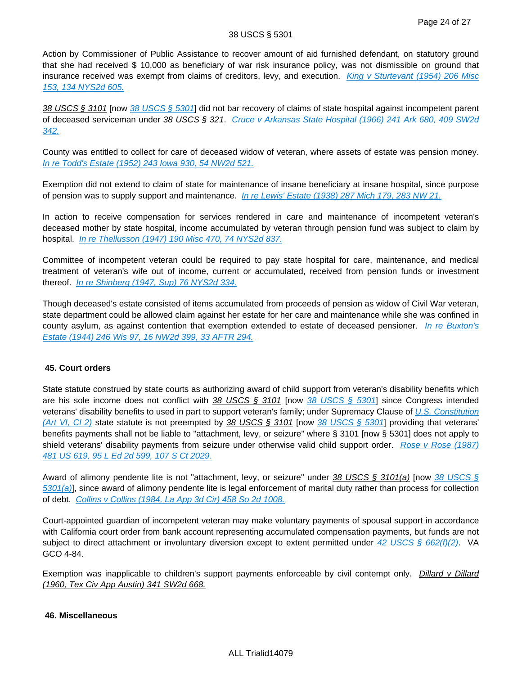Action by Commissioner of Public Assistance to recover amount of aid furnished defendant, on statutory ground that she had received \$ 10,000 as beneficiary of war risk insurance policy, was not dismissible on ground that insurance received was exempt from claims of creditors, levy, and execution. King v Sturtevant (1954) 206 Misc [153, 134 NYS2d 605.](http://advance.lexis.com/api/document?collection=cases&id=urn:contentItem:3S3K-0B60-0044-F392-00000-00&context=)

38 USCS § 3101 [now [38 USCS § 5301](http://advance.lexis.com/api/document?collection=statutes-legislation&id=urn:contentItem:4YF7-GR11-NRF4-4458-00000-00&context=)] did not bar recovery of claims of state hospital against incompetent parent of deceased serviceman under 38 USCS § 321. [Cruce v Arkansas State Hospital \(1966\) 241 Ark 680, 409 SW2d](http://advance.lexis.com/api/document?collection=cases&id=urn:contentItem:3RX3-YPK0-003C-13BK-00000-00&context=)  [342.](http://advance.lexis.com/api/document?collection=cases&id=urn:contentItem:3RX3-YPK0-003C-13BK-00000-00&context=)

County was entitled to collect for care of deceased widow of veteran, where assets of estate was pension money. [In re Todd's Estate \(1952\) 243 Iowa 930, 54 NW2d 521.](http://advance.lexis.com/api/document?collection=cases&id=urn:contentItem:3S12-3XT0-000G-S1KW-00000-00&context=)

Exemption did not extend to claim of state for maintenance of insane beneficiary at insane hospital, since purpose of pension was to supply support and maintenance. [In re Lewis' Estate \(1938\) 287 Mich 179, 283 NW 21.](http://advance.lexis.com/api/document?collection=cases&id=urn:contentItem:3RRM-X1N0-003D-12K8-00000-00&context=)

In action to receive compensation for services rendered in care and maintenance of incompetent veteran's deceased mother by state hospital, income accumulated by veteran through pension fund was subject to claim by hospital. *[In re Thellusson \(1947\) 190 Misc 470, 74 NYS2d 837.](http://advance.lexis.com/api/document?collection=cases&id=urn:contentItem:3S3K-1980-0044-F0NT-00000-00&context=)* 

Committee of incompetent veteran could be required to pay state hospital for care, maintenance, and medical treatment of veteran's wife out of income, current or accumulated, received from pension funds or investment thereof. [In re Shinberg \(1947, Sup\) 76 NYS2d 334.](http://advance.lexis.com/api/document?collection=cases&id=urn:contentItem:3S3K-18W0-0044-F0F3-00000-00&context=)

Though deceased's estate consisted of items accumulated from proceeds of pension as widow of Civil War veteran, state department could be allowed claim against her estate for her care and maintenance while she was confined in county asylum, as against contention that exemption extended to estate of deceased pensioner. In re Buxton's [Estate \(1944\) 246 Wis 97, 16 NW2d 399, 33 AFTR 294.](http://advance.lexis.com/api/document?collection=cases&id=urn:contentItem:3RRR-2WJ0-003V-H0MP-00000-00&context=)

# **45. Court orders**

State statute construed by state courts as authorizing award of child support from veteran's disability benefits which are his sole income does not conflict with  $38$  USCS § 3101 [now  $38$  USCS § 5301] since Congress intended veterans' disability benefits to used in part to support veteran's family; under Supremacy Clause of U.S. Constitution [\(Art VI, Cl 2\)](http://advance.lexis.com/api/document?collection=statutes-legislation&id=urn:contentItem:4YF7-GR31-NRF4-44XT-00000-00&context=) state statute is not preempted by 38 USCS § 3101 [now [38 USCS § 5301](http://advance.lexis.com/api/document?collection=statutes-legislation&id=urn:contentItem:4YF7-GR11-NRF4-4458-00000-00&context=)] providing that veterans' benefits payments shall not be liable to "attachment, levy, or seizure" where § 3101 [now § 5301] does not apply to shield veterans' disability payments from seizure under otherwise valid child support order. Rose v Rose (1987) [481 US 619, 95 L Ed 2d 599, 107 S Ct 2029.](http://advance.lexis.com/api/document?collection=cases&id=urn:contentItem:3S4X-HDR0-003B-40G1-00000-00&context=)

Award of alimony pendente lite is not "attachment, levy, or seizure" under [38 USCS §](http://advance.lexis.com/api/document?collection=statutes-legislation&id=urn:contentItem:4YF7-GR11-NRF4-4458-00000-00&context=) 3101(a) [now 38 USCS §  $5301(a)$ ], since award of alimony pendente lite is legal enforcement of marital duty rather than process for collection of debt. [Collins v Collins \(1984, La App 3d Cir\) 458 So 2d 1008.](http://advance.lexis.com/api/document?collection=cases&id=urn:contentItem:3S3K-54H0-008T-X2TF-00000-00&context=)

Court-appointed guardian of incompetent veteran may make voluntary payments of spousal support in accordance with California court order from bank account representing accumulated compensation payments, but funds are not subject to direct attachment or involuntary diversion except to extent permitted under  $42$  USCS § 662(f)(2). VA GCO 4-84.

Exemption was inapplicable to children's support payments enforceable by civil contempt only. Dillard v Dillard (1960, Tex Civ App Austin) 341 SW2d 668.

## **46. Miscellaneous**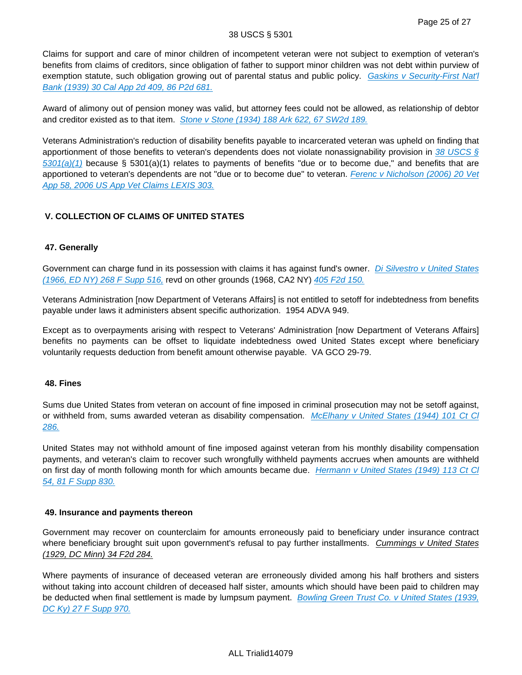#### 38 USCS § 5301

Claims for support and care of minor children of incompetent veteran were not subject to exemption of veteran's benefits from claims of creditors, since obligation of father to support minor children was not debt within purview of exemption statute, such obligation growing out of parental status and public policy. Gaskins v Security-First Nat'l [Bank \(1939\) 30 Cal App 2d 409, 86 P2d 681.](http://advance.lexis.com/api/document?collection=cases&id=urn:contentItem:3S1W-P4H0-003V-P3VH-00000-00&context=)

Award of alimony out of pension money was valid, but attorney fees could not be allowed, as relationship of debtor and creditor existed as to that item. [Stone v Stone \(1934\) 188 Ark 622, 67 SW2d 189.](http://advance.lexis.com/api/document?collection=cases&id=urn:contentItem:3YX2-W8H0-00KR-D2RT-00000-00&context=)

Veterans Administration's reduction of disability benefits payable to incarcerated veteran was upheld on finding that apportionment of those benefits to veteran's dependents does not violate nonassignability provision in 38 USCS  $\S$  $5301(a)(1)$  because § 5301(a)(1) relates to payments of benefits "due or to become due," and benefits that are apportioned to veteran's dependents are not "due or to become due" to veteran. Ferenc v Nicholson (2006) 20 Vet [App 58, 2006 US App Vet Claims LEXIS 303.](http://advance.lexis.com/api/document?collection=cases&id=urn:contentItem:4JYK-0WT0-003N-52NM-00000-00&context=)

# **V. COLLECTION OF CLAIMS OF UNITED STATES**

## **47. Generally**

Government can charge fund in its possession with claims it has against fund's owner. Di Silvestro v United States [\(1966, ED NY\) 268 F Supp 516,](http://advance.lexis.com/api/document?collection=cases&id=urn:contentItem:3S4V-RXY0-0054-84R5-00000-00&context=) revd on other grounds (1968, CA2 NY) [405 F2d 150.](http://advance.lexis.com/api/document?collection=cases&id=urn:contentItem:3S4W-TWM0-0039-Y1WX-00000-00&context=)

Veterans Administration [now Department of Veterans Affairs] is not entitled to setoff for indebtedness from benefits payable under laws it administers absent specific authorization. 1954 ADVA 949.

Except as to overpayments arising with respect to Veterans' Administration [now Department of Veterans Affairs] benefits no payments can be offset to liquidate indebtedness owed United States except where beneficiary voluntarily requests deduction from benefit amount otherwise payable. VA GCO 29-79.

## **48. Fines**

Sums due United States from veteran on account of fine imposed in criminal prosecution may not be setoff against, or withheld from, sums awarded veteran as disability compensation. McElhany v United States (1944) 101 Ct Cl [286.](http://advance.lexis.com/api/document?collection=cases&id=urn:contentItem:3S4X-23W0-003B-N032-00000-00&context=)

United States may not withhold amount of fine imposed against veteran from his monthly disability compensation payments, and veteran's claim to recover such wrongfully withheld payments accrues when amounts are withheld on first day of month following month for which amounts became due. Hermann v United States (1949) 113 Ct Cl [54, 81 F Supp 830.](http://advance.lexis.com/api/document?collection=cases&id=urn:contentItem:3S4X-JR70-003B-802J-00000-00&context=)

## **49. Insurance and payments thereon**

Government may recover on counterclaim for amounts erroneously paid to beneficiary under insurance contract where beneficiary brought suit upon government's refusal to pay further installments. Cummings v United States (1929, DC Minn) 34 F2d 284.

Where payments of insurance of deceased veteran are erroneously divided among his half brothers and sisters without taking into account children of deceased half sister, amounts which should have been paid to children may be deducted when final settlement is made by lumpsum payment. Bowling Green Trust Co. v United States (1939, [DC Ky\) 27 F Supp 970.](http://advance.lexis.com/api/document?collection=cases&id=urn:contentItem:3S4V-K4T0-003B-W1CW-00000-00&context=)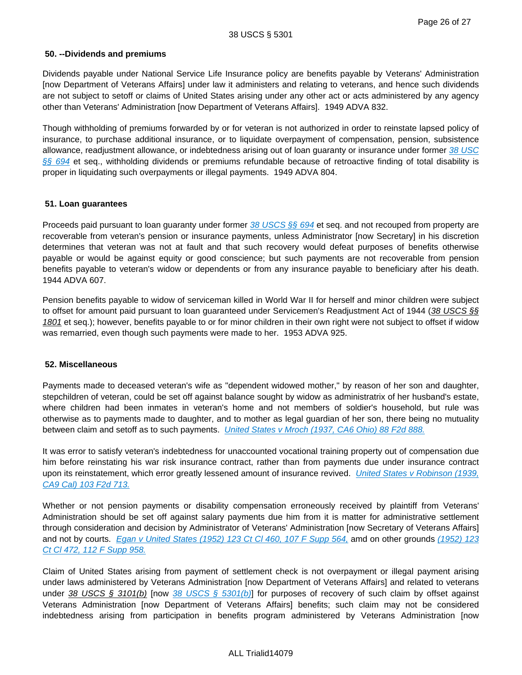## **50. --Dividends and premiums**

Dividends payable under National Service Life Insurance policy are benefits payable by Veterans' Administration [now Department of Veterans Affairs] under law it administers and relating to veterans, and hence such dividends are not subject to setoff or claims of United States arising under any other act or acts administered by any agency other than Veterans' Administration [now Department of Veterans Affairs]. 1949 ADVA 832.

Though withholding of premiums forwarded by or for veteran is not authorized in order to reinstate lapsed policy of insurance, to purchase additional insurance, or to liquidate overpayment of compensation, pension, subsistence allowance, readjustment allowance, or indebtedness arising out of loan guaranty or insurance under former 38 USC [§§ 694](http://advance.lexis.com/api/document?collection=statutes-legislation&id=urn:contentItem:472S-7T70-006F-12F8-00000-00&context=) et seq., withholding dividends or premiums refundable because of retroactive finding of total disability is proper in liquidating such overpayments or illegal payments. 1949 ADVA 804.

## **51. Loan guarantees**

Proceeds paid pursuant to loan guaranty under former [38 USCS §§ 694](http://advance.lexis.com/api/document?collection=statutes-legislation&id=urn:contentItem:472S-7T70-006F-12F8-00000-00&context=) et seq. and not recouped from property are recoverable from veteran's pension or insurance payments, unless Administrator [now Secretary] in his discretion determines that veteran was not at fault and that such recovery would defeat purposes of benefits otherwise payable or would be against equity or good conscience; but such payments are not recoverable from pension benefits payable to veteran's widow or dependents or from any insurance payable to beneficiary after his death. 1944 ADVA 607.

Pension benefits payable to widow of serviceman killed in World War II for herself and minor children were subject to offset for amount paid pursuant to loan guaranteed under Servicemen's Readjustment Act of 1944 (38 USCS §§ 1801 et seq.); however, benefits payable to or for minor children in their own right were not subject to offset if widow was remarried, even though such payments were made to her. 1953 ADVA 925.

## **52. Miscellaneous**

Payments made to deceased veteran's wife as "dependent widowed mother," by reason of her son and daughter, stepchildren of veteran, could be set off against balance sought by widow as administratrix of her husband's estate, where children had been inmates in veteran's home and not members of soldier's household, but rule was otherwise as to payments made to daughter, and to mother as legal guardian of her son, there being no mutuality between claim and setoff as to such payments. [United States v Mroch \(1937, CA6 Ohio\) 88 F2d 888.](http://advance.lexis.com/api/document?collection=cases&id=urn:contentItem:3S4W-TGB0-003B-K3CH-00000-00&context=)

It was error to satisfy veteran's indebtedness for unaccounted vocational training property out of compensation due him before reinstating his war risk insurance contract, rather than from payments due under insurance contract upon its reinstatement, which error greatly lessened amount of insurance revived. United States v Robinson (1939, [CA9 Cal\) 103 F2d 713.](http://advance.lexis.com/api/document?collection=cases&id=urn:contentItem:3S4W-SHP0-003B-K1X9-00000-00&context=)

Whether or not pension payments or disability compensation erroneously received by plaintiff from Veterans' Administration should be set off against salary payments due him from it is matter for administrative settlement through consideration and decision by Administrator of Veterans' Administration [now Secretary of Veterans Affairs] and not by courts. [Egan v United States \(1952\) 123 Ct Cl 460, 107 F Supp 564,](http://advance.lexis.com/api/document?collection=cases&id=urn:contentItem:3S4X-J9B0-003B-84KP-00000-00&context=) amd on other grounds (1952) 123 [Ct Cl 472, 112 F Supp 958.](http://advance.lexis.com/api/document?collection=cases&id=urn:contentItem:3S4X-J9B0-003B-84KP-00000-00&context=)

Claim of United States arising from payment of settlement check is not overpayment or illegal payment arising under laws administered by Veterans Administration [now Department of Veterans Affairs] and related to veterans under 38 USCS § 3101(b) [now [38 USCS § 5301\(b\)](http://advance.lexis.com/api/document?collection=statutes-legislation&id=urn:contentItem:4YF7-GR11-NRF4-4458-00000-00&context=)] for purposes of recovery of such claim by offset against Veterans Administration [now Department of Veterans Affairs] benefits; such claim may not be considered indebtedness arising from participation in benefits program administered by Veterans Administration [now